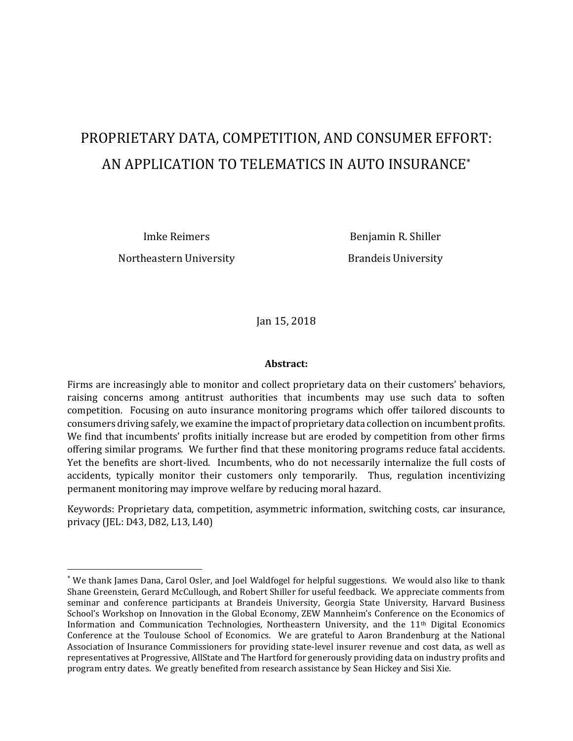# PROPRIETARY DATA, COMPETITION, AND CONSUMER EFFORT: AN APPLICATION TO TELEMATICS IN AUTO INSURANCE\*

Northeastern University **Brandeis University** 

 $\overline{\phantom{a}}$ 

Imke Reimers Benjamin R. Shiller

Jan 15, 2018

#### **Abstract:**

Firms are increasingly able to monitor and collect proprietary data on their customers' behaviors, raising concerns among antitrust authorities that incumbents may use such data to soften competition. Focusing on auto insurance monitoring programs which offer tailored discounts to consumers driving safely, we examine the impact of proprietary data collection on incumbent profits. We find that incumbents' profits initially increase but are eroded by competition from other firms offering similar programs. We further find that these monitoring programs reduce fatal accidents. Yet the benefits are short-lived. Incumbents, who do not necessarily internalize the full costs of accidents, typically monitor their customers only temporarily. Thus, regulation incentivizing permanent monitoring may improve welfare by reducing moral hazard.

Keywords: Proprietary data, competition, asymmetric information, switching costs, car insurance, privacy (JEL: D43, D82, L13, L40)

<sup>\*</sup> We thank James Dana, Carol Osler, and Joel Waldfogel for helpful suggestions. We would also like to thank Shane Greenstein, Gerard McCullough, and Robert Shiller for useful feedback. We appreciate comments from seminar and conference participants at Brandeis University, Georgia State University, Harvard Business School's Workshop on Innovation in the Global Economy, ZEW Mannheim's Conference on the Economics of Information and Communication Technologies, Northeastern University, and the 11th Digital Economics Conference at the Toulouse School of Economics. We are grateful to Aaron Brandenburg at the National Association of Insurance Commissioners for providing state-level insurer revenue and cost data, as well as representatives at Progressive, AllState and The Hartford for generously providing data on industry profits and program entry dates. We greatly benefited from research assistance by Sean Hickey and Sisi Xie.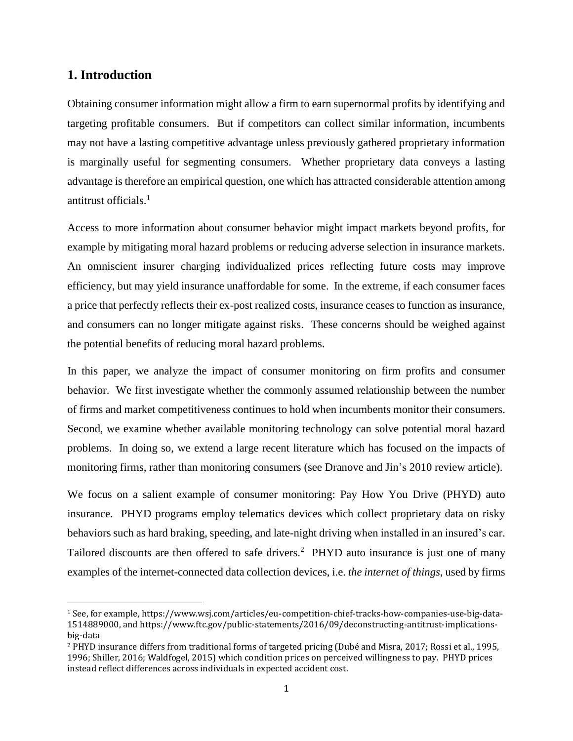### **1. Introduction**

 $\overline{\phantom{a}}$ 

Obtaining consumer information might allow a firm to earn supernormal profits by identifying and targeting profitable consumers. But if competitors can collect similar information, incumbents may not have a lasting competitive advantage unless previously gathered proprietary information is marginally useful for segmenting consumers. Whether proprietary data conveys a lasting advantage is therefore an empirical question, one which has attracted considerable attention among antitrust officials.<sup>1</sup>

Access to more information about consumer behavior might impact markets beyond profits, for example by mitigating moral hazard problems or reducing adverse selection in insurance markets. An omniscient insurer charging individualized prices reflecting future costs may improve efficiency, but may yield insurance unaffordable for some. In the extreme, if each consumer faces a price that perfectly reflects their ex-post realized costs, insurance ceases to function as insurance, and consumers can no longer mitigate against risks. These concerns should be weighed against the potential benefits of reducing moral hazard problems.

In this paper, we analyze the impact of consumer monitoring on firm profits and consumer behavior. We first investigate whether the commonly assumed relationship between the number of firms and market competitiveness continues to hold when incumbents monitor their consumers. Second, we examine whether available monitoring technology can solve potential moral hazard problems. In doing so, we extend a large recent literature which has focused on the impacts of monitoring firms, rather than monitoring consumers (see Dranove and Jin's 2010 review article).

We focus on a salient example of consumer monitoring: Pay How You Drive (PHYD) auto insurance. PHYD programs employ telematics devices which collect proprietary data on risky behaviors such as hard braking, speeding, and late-night driving when installed in an insured's car. Tailored discounts are then offered to safe drivers.<sup>2</sup> PHYD auto insurance is just one of many examples of the internet-connected data collection devices, i.e. *the internet of things*, used by firms

<sup>1</sup> See, for example, https://www.wsj.com/articles/eu-competition-chief-tracks-how-companies-use-big-data-1514889000, and [https://www.ftc.gov/public-statements/2016/09/deconstructing-antitrust-implications](https://www.ftc.gov/public-statements/2016/09/deconstructing-antitrust-implications-big-data)[big-data](https://www.ftc.gov/public-statements/2016/09/deconstructing-antitrust-implications-big-data)

<sup>2</sup> PHYD insurance differs from traditional forms of targeted pricing (Dubé and Misra, 2017; Rossi et al., 1995, 1996; Shiller, 2016; Waldfogel, 2015) which condition prices on perceived willingness to pay. PHYD prices instead reflect differences across individuals in expected accident cost.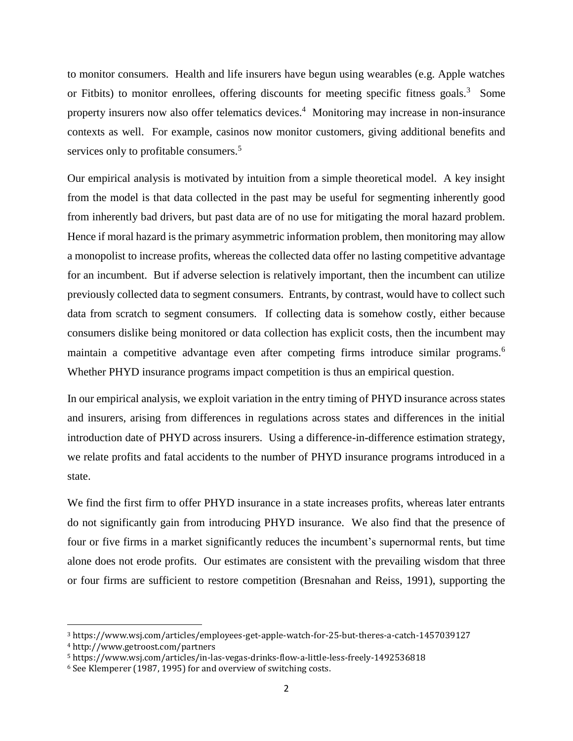to monitor consumers. Health and life insurers have begun using wearables (e.g. Apple watches or Fitbits) to monitor enrollees, offering discounts for meeting specific fitness goals.<sup>3</sup> Some property insurers now also offer telematics devices.<sup>4</sup> Monitoring may increase in non-insurance contexts as well. For example, casinos now monitor customers, giving additional benefits and services only to profitable consumers.<sup>5</sup>

Our empirical analysis is motivated by intuition from a simple theoretical model. A key insight from the model is that data collected in the past may be useful for segmenting inherently good from inherently bad drivers, but past data are of no use for mitigating the moral hazard problem. Hence if moral hazard is the primary asymmetric information problem, then monitoring may allow a monopolist to increase profits, whereas the collected data offer no lasting competitive advantage for an incumbent. But if adverse selection is relatively important, then the incumbent can utilize previously collected data to segment consumers. Entrants, by contrast, would have to collect such data from scratch to segment consumers. If collecting data is somehow costly, either because consumers dislike being monitored or data collection has explicit costs, then the incumbent may maintain a competitive advantage even after competing firms introduce similar programs.<sup>6</sup> Whether PHYD insurance programs impact competition is thus an empirical question.

In our empirical analysis, we exploit variation in the entry timing of PHYD insurance across states and insurers, arising from differences in regulations across states and differences in the initial introduction date of PHYD across insurers. Using a difference-in-difference estimation strategy, we relate profits and fatal accidents to the number of PHYD insurance programs introduced in a state.

We find the first firm to offer PHYD insurance in a state increases profits, whereas later entrants do not significantly gain from introducing PHYD insurance. We also find that the presence of four or five firms in a market significantly reduces the incumbent's supernormal rents, but time alone does not erode profits. Our estimates are consistent with the prevailing wisdom that three or four firms are sufficient to restore competition (Bresnahan and Reiss, 1991), supporting the

 $\overline{a}$ 

<sup>3</sup> https://www.wsj.com/articles/employees-get-apple-watch-for-25-but-theres-a-catch-1457039127

<sup>4</sup> http://www.getroost.com/partners

<sup>5</sup> https://www.wsj.com/articles/in-las-vegas-drinks-flow-a-little-less-freely-1492536818

<sup>6</sup> See Klemperer (1987, 1995) for and overview of switching costs.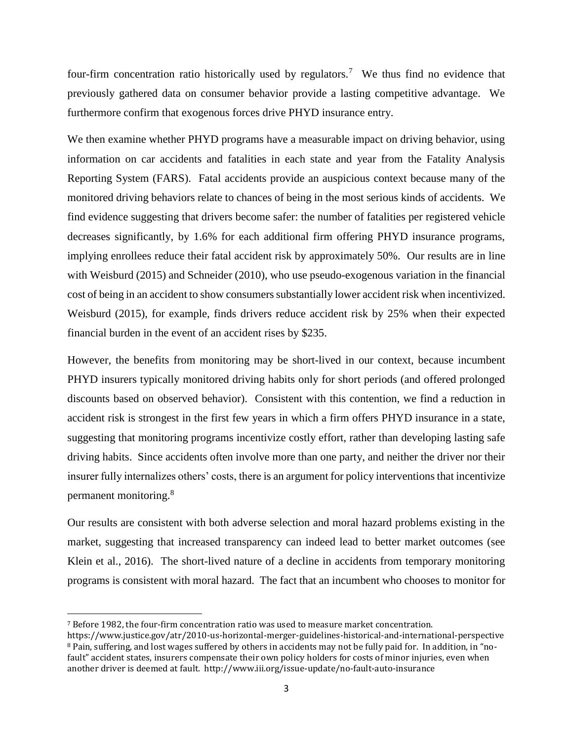four-firm concentration ratio historically used by regulators.<sup>7</sup> We thus find no evidence that previously gathered data on consumer behavior provide a lasting competitive advantage. We furthermore confirm that exogenous forces drive PHYD insurance entry.

We then examine whether PHYD programs have a measurable impact on driving behavior, using information on car accidents and fatalities in each state and year from the Fatality Analysis Reporting System (FARS). Fatal accidents provide an auspicious context because many of the monitored driving behaviors relate to chances of being in the most serious kinds of accidents. We find evidence suggesting that drivers become safer: the number of fatalities per registered vehicle decreases significantly, by 1.6% for each additional firm offering PHYD insurance programs, implying enrollees reduce their fatal accident risk by approximately 50%. Our results are in line with Weisburd (2015) and Schneider (2010), who use pseudo-exogenous variation in the financial cost of being in an accident to show consumers substantially lower accident risk when incentivized. Weisburd (2015), for example, finds drivers reduce accident risk by 25% when their expected financial burden in the event of an accident rises by \$235.

However, the benefits from monitoring may be short-lived in our context, because incumbent PHYD insurers typically monitored driving habits only for short periods (and offered prolonged discounts based on observed behavior). Consistent with this contention, we find a reduction in accident risk is strongest in the first few years in which a firm offers PHYD insurance in a state, suggesting that monitoring programs incentivize costly effort, rather than developing lasting safe driving habits. Since accidents often involve more than one party, and neither the driver nor their insurer fully internalizes others' costs, there is an argument for policy interventions that incentivize permanent monitoring.<sup>8</sup>

Our results are consistent with both adverse selection and moral hazard problems existing in the market, suggesting that increased transparency can indeed lead to better market outcomes (see Klein et al., 2016). The short-lived nature of a decline in accidents from temporary monitoring programs is consistent with moral hazard. The fact that an incumbent who chooses to monitor for

 $\overline{a}$ 

<sup>7</sup> Before 1982, the four-firm concentration ratio was used to measure market concentration.

https://www.justice.gov/atr/2010-us-horizontal-merger-guidelines-historical-and-international-perspective <sup>8</sup> Pain, suffering, and lost wages suffered by others in accidents may not be fully paid for. In addition, in "nofault" accident states, insurers compensate their own policy holders for costs of minor injuries, even when another driver is deemed at fault. http://www.iii.org/issue-update/no-fault-auto-insurance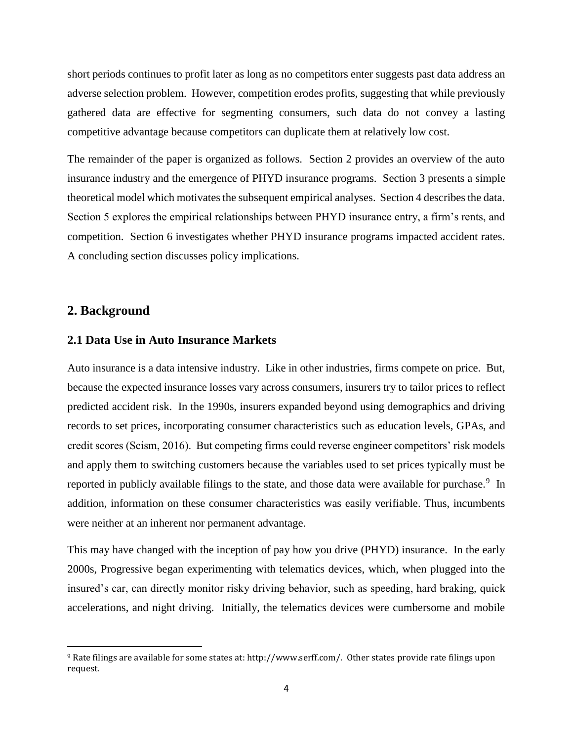short periods continues to profit later as long as no competitors enter suggests past data address an adverse selection problem. However, competition erodes profits, suggesting that while previously gathered data are effective for segmenting consumers, such data do not convey a lasting competitive advantage because competitors can duplicate them at relatively low cost.

The remainder of the paper is organized as follows. Section 2 provides an overview of the auto insurance industry and the emergence of PHYD insurance programs. Section 3 presents a simple theoretical model which motivates the subsequent empirical analyses. Section 4 describes the data. Section 5 explores the empirical relationships between PHYD insurance entry, a firm's rents, and competition. Section 6 investigates whether PHYD insurance programs impacted accident rates. A concluding section discusses policy implications.

### **2. Background**

 $\overline{\phantom{a}}$ 

### **2.1 Data Use in Auto Insurance Markets**

Auto insurance is a data intensive industry. Like in other industries, firms compete on price. But, because the expected insurance losses vary across consumers, insurers try to tailor prices to reflect predicted accident risk. In the 1990s, insurers expanded beyond using demographics and driving records to set prices, incorporating consumer characteristics such as education levels, GPAs, and credit scores (Scism, 2016). But competing firms could reverse engineer competitors' risk models and apply them to switching customers because the variables used to set prices typically must be reported in publicly available filings to the state, and those data were available for purchase.<sup>9</sup> In addition, information on these consumer characteristics was easily verifiable. Thus, incumbents were neither at an inherent nor permanent advantage.

This may have changed with the inception of pay how you drive (PHYD) insurance. In the early 2000s, Progressive began experimenting with telematics devices, which, when plugged into the insured's car, can directly monitor risky driving behavior, such as speeding, hard braking, quick accelerations, and night driving. Initially, the telematics devices were cumbersome and mobile

<sup>9</sup> Rate filings are available for some states at: [http://www.serff.com/.](http://www.serff.com/) Other states provide rate filings upon request.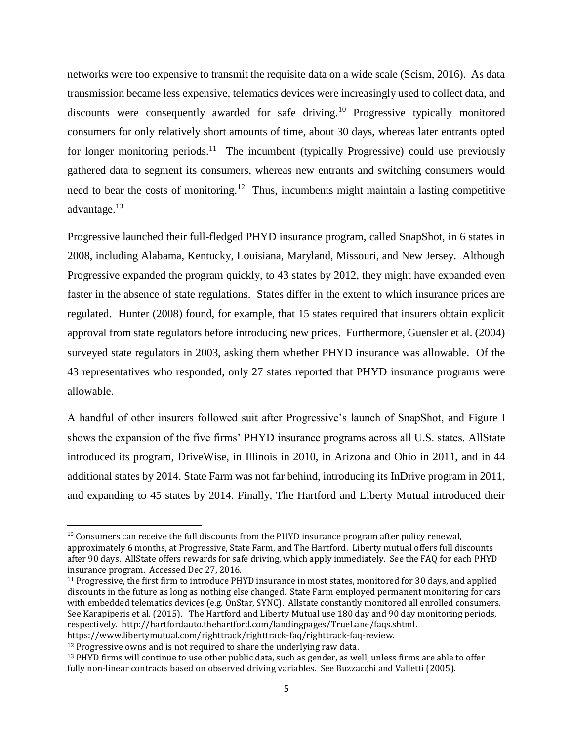networks were too expensive to transmit the requisite data on a wide scale (Scism, 2016). As data transmission became less expensive, telematics devices were increasingly used to collect data, and discounts were consequently awarded for safe driving.<sup>10</sup> Progressive typically monitored consumers for only relatively short amounts of time, about 30 days, whereas later entrants opted for longer monitoring periods.<sup>11</sup> The incumbent (typically Progressive) could use previously gathered data to segment its consumers, whereas new entrants and switching consumers would need to bear the costs of monitoring.<sup>12</sup> Thus, incumbents might maintain a lasting competitive advantage.<sup>13</sup>

Progressive launched their full-fledged PHYD insurance program, called SnapShot, in 6 states in 2008, including Alabama, Kentucky, Louisiana, Maryland, Missouri, and New Jersey. Although Progressive expanded the program quickly, to 43 states by 2012, they might have expanded even faster in the absence of state regulations. States differ in the extent to which insurance prices are regulated. Hunter (2008) found, for example, that 15 states required that insurers obtain explicit approval from state regulators before introducing new prices. Furthermore, Guensler et al. (2004) surveyed state regulators in 2003, asking them whether PHYD insurance was allowable. Of the 43 representatives who responded, only 27 states reported that PHYD insurance programs were allowable.

A handful of other insurers followed suit after Progressive's launch of SnapShot, and Figure I shows the expansion of the five firms' PHYD insurance programs across all U.S. states. AllState introduced its program, DriveWise, in Illinois in 2010, in Arizona and Ohio in 2011, and in 44 additional states by 2014. State Farm was not far behind, introducing its InDrive program in 2011, and expanding to 45 states by 2014. Finally, The Hartford and Liberty Mutual introduced their

<sup>&</sup>lt;sup>10</sup> Consumers can receive the full discounts from the PHYD insurance program after policy renewal, approximately 6 months, at Progressive, State Farm, and The Hartford. Liberty mutual offers full discounts after 90 days. AllState offers rewards for safe driving, which apply immediately. See the FAQ for each PHYD insurance program. Accessed Dec 27, 2016.

<sup>11</sup> Progressive, the first firm to introduce PHYD insurance in most states, monitored for 30 days, and applied discounts in the future as long as nothing else changed. State Farm employed permanent monitoring for cars with embedded telematics devices (e.g. OnStar, SYNC). Allstate constantly monitored all enrolled consumers. See Karapiperis et al. (2015). The Hartford and Liberty Mutual use 180 day and 90 day monitoring periods, respectively. [http://hartfordauto.thehartford.com/landingpages/TrueLane/faqs.shtml.](http://hartfordauto.thehartford.com/landingpages/TrueLane/faqs.shtml)

https://www.libertymutual.com/righttrack/righttrack-faq/righttrack-faq-review.

<sup>&</sup>lt;sup>12</sup> Progressive owns and is not required to share the underlying raw data.

<sup>&</sup>lt;sup>13</sup> PHYD firms will continue to use other public data, such as gender, as well, unless firms are able to offer fully non-linear contracts based on observed driving variables. See Buzzacchi and Valletti (2005).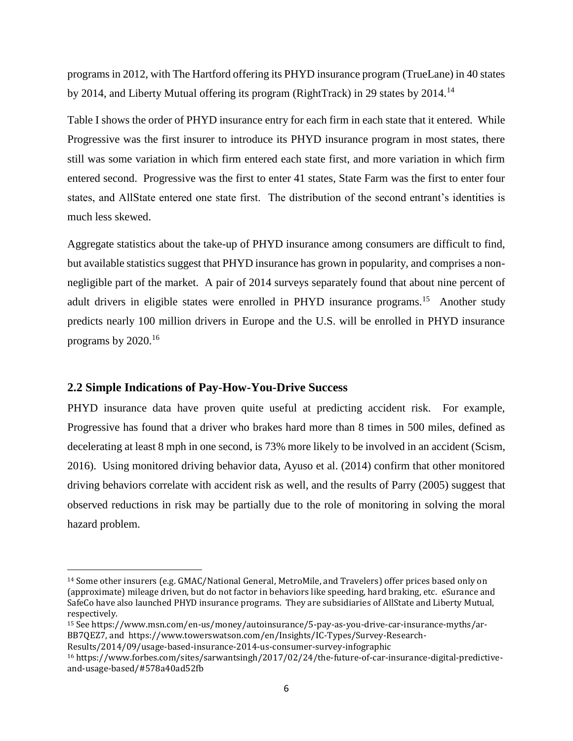programs in 2012, with The Hartford offering its PHYD insurance program (TrueLane) in 40 states by 2014, and Liberty Mutual offering its program (RightTrack) in 29 states by 2014.<sup>14</sup>

Table I shows the order of PHYD insurance entry for each firm in each state that it entered. While Progressive was the first insurer to introduce its PHYD insurance program in most states, there still was some variation in which firm entered each state first, and more variation in which firm entered second. Progressive was the first to enter 41 states, State Farm was the first to enter four states, and AllState entered one state first. The distribution of the second entrant's identities is much less skewed.

Aggregate statistics about the take-up of PHYD insurance among consumers are difficult to find, but available statistics suggest that PHYD insurance has grown in popularity, and comprises a nonnegligible part of the market. A pair of 2014 surveys separately found that about nine percent of adult drivers in eligible states were enrolled in PHYD insurance programs.<sup>15</sup> Another study predicts nearly 100 million drivers in Europe and the U.S. will be enrolled in PHYD insurance programs by  $2020$ .<sup>16</sup>

### **2.2 Simple Indications of Pay-How-You-Drive Success**

 $\overline{a}$ 

PHYD insurance data have proven quite useful at predicting accident risk. For example, Progressive has found that a driver who brakes hard more than 8 times in 500 miles, defined as decelerating at least 8 mph in one second, is 73% more likely to be involved in an accident (Scism, 2016). Using monitored driving behavior data, Ayuso et al. (2014) confirm that other monitored driving behaviors correlate with accident risk as well, and the results of Parry (2005) suggest that observed reductions in risk may be partially due to the role of monitoring in solving the moral hazard problem.

<sup>14</sup> Some other insurers (e.g. GMAC/National General, MetroMile, and Travelers) offer prices based only on (approximate) mileage driven, but do not factor in behaviors like speeding, hard braking, etc. eSurance and SafeCo have also launched PHYD insurance programs. They are subsidiaries of AllState and Liberty Mutual, respectively.

<sup>15</sup> Se[e https://www.msn.com/en-us/money/autoinsurance/5-pay-as-you-drive-car-insurance-myths/ar-](https://www.msn.com/en-us/money/autoinsurance/5-pay-as-you-drive-car-insurance-myths/ar-BB7QEZ7)[BB7QEZ7,](https://www.msn.com/en-us/money/autoinsurance/5-pay-as-you-drive-car-insurance-myths/ar-BB7QEZ7) and [https://www.towerswatson.com/en/Insights/IC-Types/Survey-Research-](https://www.towerswatson.com/en/Insights/IC-Types/Survey-Research-Results/2014/09/usage-based-insurance-2014-us-consumer-survey-infographic)

[Results/2014/09/usage-based-insurance-2014-us-consumer-survey-infographic](https://www.towerswatson.com/en/Insights/IC-Types/Survey-Research-Results/2014/09/usage-based-insurance-2014-us-consumer-survey-infographic)

<sup>16</sup> https://www.forbes.com/sites/sarwantsingh/2017/02/24/the-future-of-car-insurance-digital-predictiveand-usage-based/#578a40ad52fb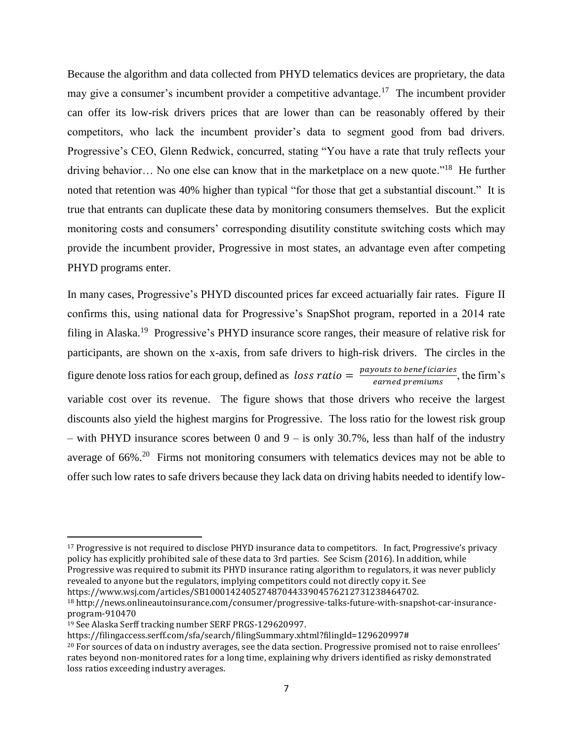Because the algorithm and data collected from PHYD telematics devices are proprietary, the data may give a consumer's incumbent provider a competitive advantage.<sup>17</sup> The incumbent provider can offer its low-risk drivers prices that are lower than can be reasonably offered by their competitors, who lack the incumbent provider's data to segment good from bad drivers. Progressive's CEO, Glenn Redwick, concurred, stating "You have a rate that truly reflects your driving behavior... No one else can know that in the marketplace on a new quote."<sup>18</sup> He further noted that retention was 40% higher than typical "for those that get a substantial discount." It is true that entrants can duplicate these data by monitoring consumers themselves. But the explicit monitoring costs and consumers' corresponding disutility constitute switching costs which may provide the incumbent provider, Progressive in most states, an advantage even after competing PHYD programs enter.

In many cases, Progressive's PHYD discounted prices far exceed actuarially fair rates. Figure II confirms this, using national data for Progressive's SnapShot program, reported in a 2014 rate filing in Alaska.<sup>19</sup> Progressive's PHYD insurance score ranges, their measure of relative risk for participants, are shown on the x-axis, from safe drivers to high-risk drivers. The circles in the figure denote loss ratios for each group, defined as  $loss ratio = \frac{payouts \ to \ beneficiaries}{\text{sumed sum of numtimes}}$  $\frac{a_{\text{out}}}{b_{\text{out}}}$ , the firm's variable cost over its revenue. The figure shows that those drivers who receive the largest discounts also yield the highest margins for Progressive. The loss ratio for the lowest risk group – with PHYD insurance scores between 0 and  $9 -$  is only 30.7%, less than half of the industry average of  $66\%$ <sup>20</sup> Firms not monitoring consumers with telematics devices may not be able to offer such low rates to safe drivers because they lack data on driving habits needed to identify low-

<sup>17</sup> Progressive is not required to disclose PHYD insurance data to competitors. In fact, Progressive's privacy policy has explicitly prohibited sale of these data to 3rd parties. See [Scism](http://www.wsj.com/articles/car-insurers-find-tracking-devices-are-a-tough-sell-1452476714) (2016). In addition, while Progressive was required to submit its PHYD insurance rating algorithm to regulators, it was never publicly revealed to anyone but the regulators, implying competitors could not directly copy it. See https://www.wsj.com/articles/SB10001424052748704433904576212731238464702.

 $\overline{a}$ 

https://filingaccess.serff.com/sfa/search/filingSummary.xhtml?filingId=129620997#

<sup>18</sup> http://news.onlineautoinsurance.com/consumer/progressive-talks-future-with-snapshot-car-insuranceprogram-910470

<sup>19</sup> See Alaska Serff tracking number SERF PRGS-129620997.

<sup>&</sup>lt;sup>20</sup> For sources of data on industry averages, see the data section. Progressive promised not to raise enrollees' rates beyond non-monitored rates for a long time, explaining why drivers identified as risky demonstrated loss ratios exceeding industry averages.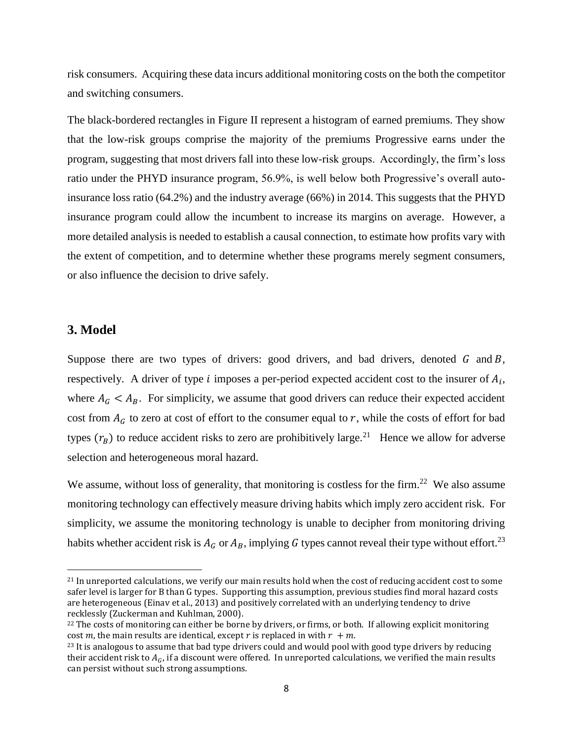risk consumers. Acquiring these data incurs additional monitoring costs on the both the competitor and switching consumers.

The black-bordered rectangles in Figure II represent a histogram of earned premiums. They show that the low-risk groups comprise the majority of the premiums Progressive earns under the program, suggesting that most drivers fall into these low-risk groups. Accordingly, the firm's loss ratio under the PHYD insurance program, 56.9%, is well below both Progressive's overall autoinsurance loss ratio (64.2%) and the industry average (66%) in 2014. This suggests that the PHYD insurance program could allow the incumbent to increase its margins on average. However, a more detailed analysis is needed to establish a causal connection, to estimate how profits vary with the extent of competition, and to determine whether these programs merely segment consumers, or also influence the decision to drive safely.

### **3. Model**

 $\overline{a}$ 

Suppose there are two types of drivers: good drivers, and bad drivers, denoted  $G$  and  $B$ , respectively. A driver of type *i* imposes a per-period expected accident cost to the insurer of  $A_i$ , where  $A_G < A_B$ . For simplicity, we assume that good drivers can reduce their expected accident cost from  $A_G$  to zero at cost of effort to the consumer equal to r, while the costs of effort for bad types  $(r_B)$  to reduce accident risks to zero are prohibitively large.<sup>21</sup> Hence we allow for adverse selection and heterogeneous moral hazard.

We assume, without loss of generality, that monitoring is costless for the firm.<sup>22</sup> We also assume monitoring technology can effectively measure driving habits which imply zero accident risk. For simplicity, we assume the monitoring technology is unable to decipher from monitoring driving habits whether accident risk is  $A_G$  or  $A_B$ , implying G types cannot reveal their type without effort.<sup>23</sup>

<sup>21</sup> In unreported calculations, we verify our main results hold when the cost of reducing accident cost to some safer level is larger for B than G types. Supporting this assumption, previous studies find moral hazard costs are heterogeneous (Einav et al., 2013) and positively correlated with an underlying tendency to drive recklessly (Zuckerman and Kuhlman, 2000).

<sup>&</sup>lt;sup>22</sup> The costs of monitoring can either be borne by drivers, or firms, or both. If allowing explicit monitoring cost m, the main results are identical, except r is replaced in with  $r + m$ .

<sup>&</sup>lt;sup>23</sup> It is analogous to assume that bad type drivers could and would pool with good type drivers by reducing their accident risk to  $A_G$ , if a discount were offered. In unreported calculations, we verified the main results can persist without such strong assumptions.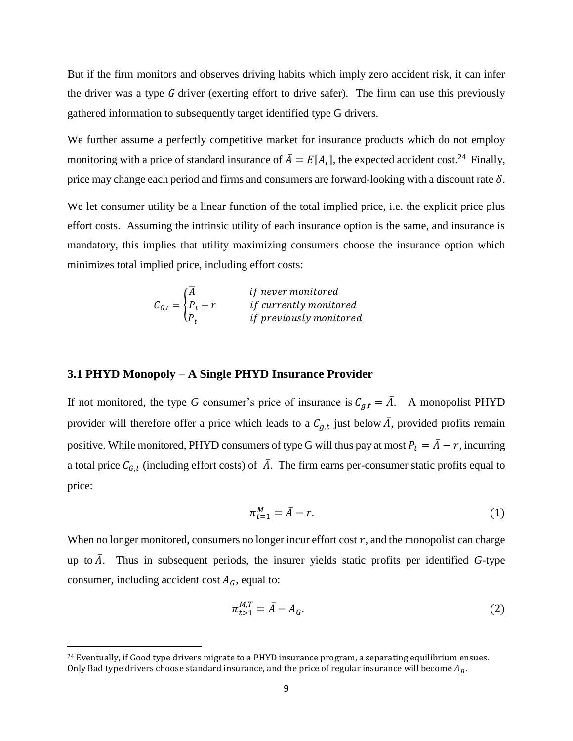But if the firm monitors and observes driving habits which imply zero accident risk, it can infer the driver was a type  $G$  driver (exerting effort to drive safer). The firm can use this previously gathered information to subsequently target identified type G drivers.

We further assume a perfectly competitive market for insurance products which do not employ monitoring with a price of standard insurance of  $\bar{A} = E[A_i]$ , the expected accident cost.<sup>24</sup> Finally, price may change each period and firms and consumers are forward-looking with a discount rate  $\delta$ .

We let consumer utility be a linear function of the total implied price, i.e. the explicit price plus effort costs. Assuming the intrinsic utility of each insurance option is the same, and insurance is mandatory, this implies that utility maximizing consumers choose the insurance option which minimizes total implied price, including effort costs:

$$
C_{G,t} = \begin{cases} \overline{A} & \text{if never monitored} \\ P_t + r & \text{if currently monitored} \\ P_t & \text{if previously monitored} \end{cases}
$$

#### **3.1 PHYD Monopoly – A Single PHYD Insurance Provider**

 $\overline{\phantom{a}}$ 

If not monitored, the type *G* consumer's price of insurance is  $C_{q,t} = \overline{A}$ . A monopolist PHYD provider will therefore offer a price which leads to a  $C_{g,t}$  just below  $\overline{A}$ , provided profits remain positive. While monitored, PHYD consumers of type G will thus pay at most  $P_t = \overline{A} - r$ , incurring a total price  $C_{G,t}$  (including effort costs) of  $\overline{A}$ . The firm earns per-consumer static profits equal to price:

$$
\pi_{t=1}^M = \bar{A} - r.\tag{1}
$$

When no longer monitored, consumers no longer incur effort cost  $r$ , and the monopolist can charge up to  $\overline{A}$ . Thus in subsequent periods, the insurer yields static profits per identified *G*-type consumer, including accident cost  $A_G$ , equal to:

$$
\pi_{t>1}^{M,T} = \bar{A} - A_G. \tag{2}
$$

<sup>&</sup>lt;sup>24</sup> Eventually, if Good type drivers migrate to a PHYD insurance program, a separating equilibrium ensues. Only Bad type drivers choose standard insurance, and the price of regular insurance will become  $A_B$ .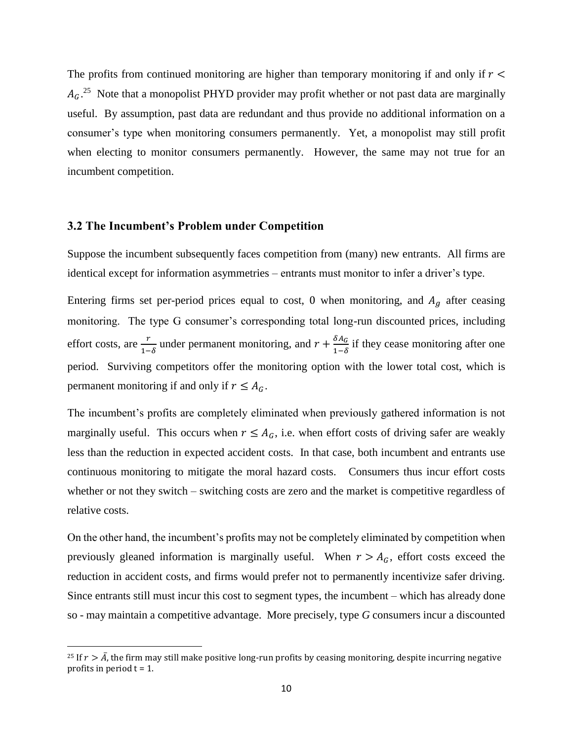The profits from continued monitoring are higher than temporary monitoring if and only if  $r <$  $A_G$ <sup>25</sup> Note that a monopolist PHYD provider may profit whether or not past data are marginally useful. By assumption, past data are redundant and thus provide no additional information on a consumer's type when monitoring consumers permanently. Yet, a monopolist may still profit when electing to monitor consumers permanently. However, the same may not true for an incumbent competition.

### **3.2 The Incumbent's Problem under Competition**

 $\overline{\phantom{a}}$ 

Suppose the incumbent subsequently faces competition from (many) new entrants. All firms are identical except for information asymmetries – entrants must monitor to infer a driver's type.

Entering firms set per-period prices equal to cost, 0 when monitoring, and  $A<sub>g</sub>$  after ceasing monitoring. The type G consumer's corresponding total long-run discounted prices, including effort costs, are  $\frac{r}{1-\delta}$  under permanent monitoring, and  $r + \frac{\delta A_G}{1-\delta}$  $\frac{\partial A_G}{\partial 1-\delta}$  if they cease monitoring after one period. Surviving competitors offer the monitoring option with the lower total cost, which is permanent monitoring if and only if  $r \leq A_G$ .

The incumbent's profits are completely eliminated when previously gathered information is not marginally useful. This occurs when  $r \leq A_G$ , i.e. when effort costs of driving safer are weakly less than the reduction in expected accident costs. In that case, both incumbent and entrants use continuous monitoring to mitigate the moral hazard costs. Consumers thus incur effort costs whether or not they switch – switching costs are zero and the market is competitive regardless of relative costs.

On the other hand, the incumbent's profits may not be completely eliminated by competition when previously gleaned information is marginally useful. When  $r > A_G$ , effort costs exceed the reduction in accident costs, and firms would prefer not to permanently incentivize safer driving. Since entrants still must incur this cost to segment types, the incumbent – which has already done so - may maintain a competitive advantage. More precisely, type *G* consumers incur a discounted

<sup>&</sup>lt;sup>25</sup> If  $r > \overline{A}$ , the firm may still make positive long-run profits by ceasing monitoring, despite incurring negative profits in period  $t = 1$ .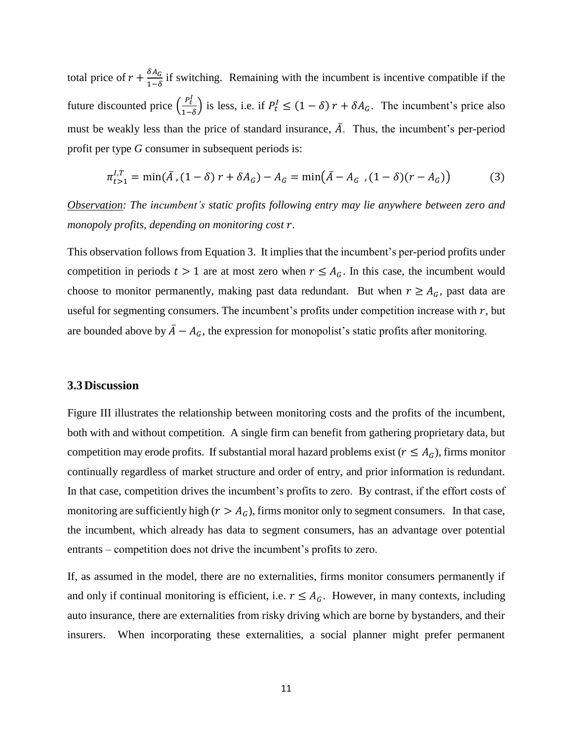total price of  $r + \frac{\delta A_G}{\delta A_G}$  $\frac{\delta A_C}{1-\delta}$  if switching. Remaining with the incumbent is incentive compatible if the future discounted price  $\left(\frac{P_t^I}{\sigma}\right)$  $\frac{P_t}{1-\delta}$  is less, i.e. if  $P_t^I \leq (1-\delta) r + \delta A_G$ . The incumbent's price also must be weakly less than the price of standard insurance,  $\overline{A}$ . Thus, the incumbent's per-period profit per type *G* consumer in subsequent periods is:

$$
\pi_{t>1}^{I,T} = \min(\bar{A}, (1-\delta) r + \delta A_G) - A_G = \min(\bar{A} - A_G, (1-\delta)(r - A_G))
$$
(3)

*Observation: The incumbent's static profits following entry may lie anywhere between zero and monopoly profits, depending on monitoring cost* .

This observation follows from Equation 3. It implies that the incumbent's per-period profits under competition in periods  $t > 1$  are at most zero when  $r \leq A_G$ . In this case, the incumbent would choose to monitor permanently, making past data redundant. But when  $r \geq A_G$ , past data are useful for segmenting consumers. The incumbent's profits under competition increase with  $r$ , but are bounded above by  $\bar{A} - A_G$ , the expression for monopolist's static profits after monitoring.

### **3.3Discussion**

Figure III illustrates the relationship between monitoring costs and the profits of the incumbent, both with and without competition. A single firm can benefit from gathering proprietary data, but competition may erode profits. If substantial moral hazard problems exist ( $r \leq A_G$ ), firms monitor continually regardless of market structure and order of entry, and prior information is redundant. In that case, competition drives the incumbent's profits to zero. By contrast, if the effort costs of monitoring are sufficiently high ( $r > A_G$ ), firms monitor only to segment consumers. In that case, the incumbent, which already has data to segment consumers, has an advantage over potential entrants – competition does not drive the incumbent's profits to zero.

If, as assumed in the model, there are no externalities, firms monitor consumers permanently if and only if continual monitoring is efficient, i.e.  $r \leq A_G$ . However, in many contexts, including auto insurance, there are externalities from risky driving which are borne by bystanders, and their insurers. When incorporating these externalities, a social planner might prefer permanent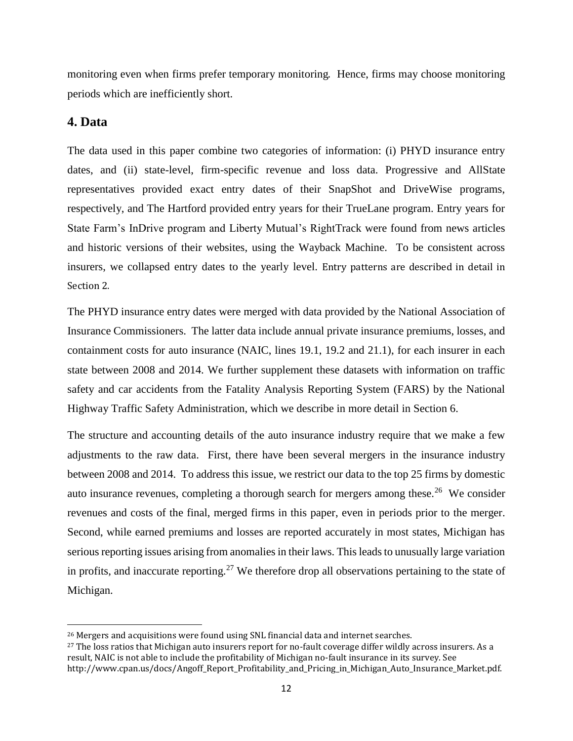monitoring even when firms prefer temporary monitoring. Hence, firms may choose monitoring periods which are inefficiently short.

### **4. Data**

 $\overline{a}$ 

The data used in this paper combine two categories of information: (i) PHYD insurance entry dates, and (ii) state-level, firm-specific revenue and loss data. Progressive and AllState representatives provided exact entry dates of their SnapShot and DriveWise programs, respectively, and The Hartford provided entry years for their TrueLane program. Entry years for State Farm's InDrive program and Liberty Mutual's RightTrack were found from news articles and historic versions of their websites, using the Wayback Machine. To be consistent across insurers, we collapsed entry dates to the yearly level. Entry patterns are described in detail in Section 2.

The PHYD insurance entry dates were merged with data provided by the National Association of Insurance Commissioners. The latter data include annual private insurance premiums, losses, and containment costs for auto insurance (NAIC, lines 19.1, 19.2 and 21.1), for each insurer in each state between 2008 and 2014. We further supplement these datasets with information on traffic safety and car accidents from the Fatality Analysis Reporting System (FARS) by the National Highway Traffic Safety Administration, which we describe in more detail in Section 6.

The structure and accounting details of the auto insurance industry require that we make a few adjustments to the raw data. First, there have been several mergers in the insurance industry between 2008 and 2014. To address this issue, we restrict our data to the top 25 firms by domestic auto insurance revenues, completing a thorough search for mergers among these.<sup>26</sup> We consider revenues and costs of the final, merged firms in this paper, even in periods prior to the merger. Second, while earned premiums and losses are reported accurately in most states, Michigan has serious reporting issues arising from anomalies in their laws. This leads to unusually large variation in profits, and inaccurate reporting.<sup>27</sup> We therefore drop all observations pertaining to the state of Michigan.

<sup>26</sup> Mergers and acquisitions were found using SNL financial data and internet searches.

<sup>&</sup>lt;sup>27</sup> The loss ratios that Michigan auto insurers report for no-fault coverage differ wildly across insurers. As a result, NAIC is not able to include the profitability of Michigan no-fault insurance in its survey. See http://www.cpan.us/docs/Angoff\_Report\_Profitability\_and\_Pricing\_in\_Michigan\_Auto\_Insurance\_Market.pdf.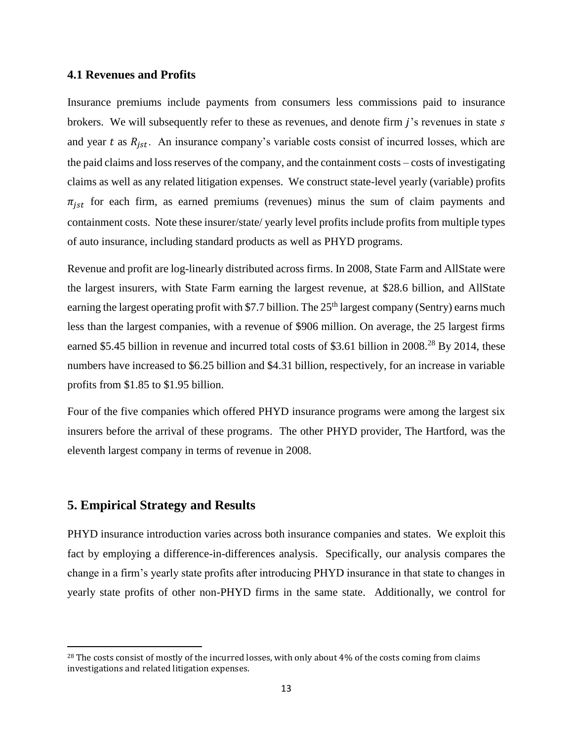#### **4.1 Revenues and Profits**

Insurance premiums include payments from consumers less commissions paid to insurance brokers. We will subsequently refer to these as revenues, and denote firm  $j$ 's revenues in state  $s$ and year  $t$  as  $R_{jst}$ . An insurance company's variable costs consist of incurred losses, which are the paid claims and loss reserves of the company, and the containment costs – costs of investigating claims as well as any related litigation expenses. We construct state-level yearly (variable) profits  $\pi_{jst}$  for each firm, as earned premiums (revenues) minus the sum of claim payments and containment costs. Note these insurer/state/ yearly level profits include profits from multiple types of auto insurance, including standard products as well as PHYD programs.

Revenue and profit are log-linearly distributed across firms. In 2008, State Farm and AllState were the largest insurers, with State Farm earning the largest revenue, at \$28.6 billion, and AllState earning the largest operating profit with \$7.7 billion. The  $25<sup>th</sup>$  largest company (Sentry) earns much less than the largest companies, with a revenue of \$906 million. On average, the 25 largest firms earned \$5.45 billion in revenue and incurred total costs of \$3.61 billion in 2008.<sup>28</sup> By 2014, these numbers have increased to \$6.25 billion and \$4.31 billion, respectively, for an increase in variable profits from \$1.85 to \$1.95 billion.

Four of the five companies which offered PHYD insurance programs were among the largest six insurers before the arrival of these programs. The other PHYD provider, The Hartford, was the eleventh largest company in terms of revenue in 2008.

### **5. Empirical Strategy and Results**

 $\overline{\phantom{a}}$ 

PHYD insurance introduction varies across both insurance companies and states. We exploit this fact by employing a difference-in-differences analysis. Specifically, our analysis compares the change in a firm's yearly state profits after introducing PHYD insurance in that state to changes in yearly state profits of other non-PHYD firms in the same state. Additionally, we control for

<sup>&</sup>lt;sup>28</sup> The costs consist of mostly of the incurred losses, with only about 4% of the costs coming from claims investigations and related litigation expenses.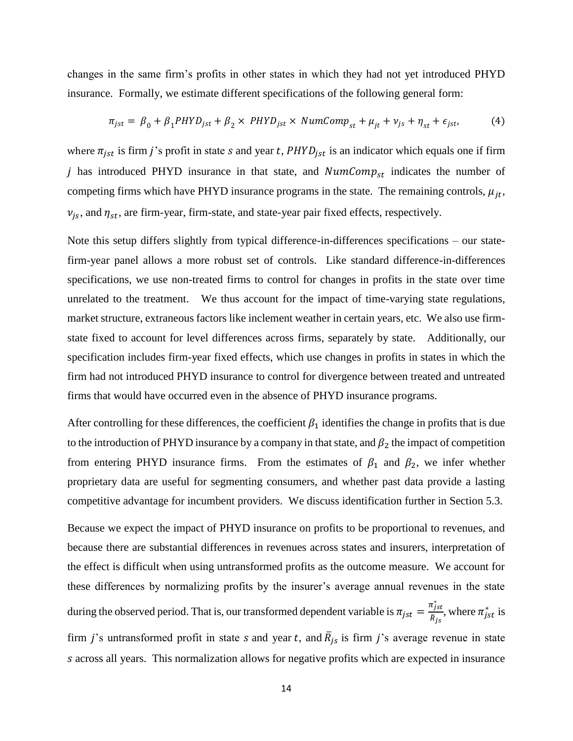changes in the same firm's profits in other states in which they had not yet introduced PHYD insurance. Formally, we estimate different specifications of the following general form:

$$
\pi_{jst} = \beta_0 + \beta_1 P H Y D_{jst} + \beta_2 \times P H Y D_{jst} \times NumComp_{st} + \mu_{jt} + \nu_{js} + \eta_{st} + \epsilon_{jst},\tag{4}
$$

where  $\pi_{jst}$  is firm j's profit in state s and year t, PHYD<sub>jst</sub> is an indicator which equals one if firm j has introduced PHYD insurance in that state, and  $NumComp_{st}$  indicates the number of competing firms which have PHYD insurance programs in the state. The remaining controls,  $\mu_{jt}$ ,  $v_{js}$ , and  $\eta_{st}$ , are firm-year, firm-state, and state-year pair fixed effects, respectively.

Note this setup differs slightly from typical difference-in-differences specifications – our statefirm-year panel allows a more robust set of controls. Like standard difference-in-differences specifications, we use non-treated firms to control for changes in profits in the state over time unrelated to the treatment. We thus account for the impact of time-varying state regulations, market structure, extraneous factors like inclement weather in certain years, etc. We also use firmstate fixed to account for level differences across firms, separately by state. Additionally, our specification includes firm-year fixed effects, which use changes in profits in states in which the firm had not introduced PHYD insurance to control for divergence between treated and untreated firms that would have occurred even in the absence of PHYD insurance programs.

After controlling for these differences, the coefficient  $\beta_1$  identifies the change in profits that is due to the introduction of PHYD insurance by a company in that state, and  $\beta_2$  the impact of competition from entering PHYD insurance firms. From the estimates of  $\beta_1$  and  $\beta_2$ , we infer whether proprietary data are useful for segmenting consumers, and whether past data provide a lasting competitive advantage for incumbent providers. We discuss identification further in Section 5.3.

Because we expect the impact of PHYD insurance on profits to be proportional to revenues, and because there are substantial differences in revenues across states and insurers, interpretation of the effect is difficult when using untransformed profits as the outcome measure. We account for these differences by normalizing profits by the insurer's average annual revenues in the state during the observed period. That is, our transformed dependent variable is  $\pi_{jst} = \frac{\pi_{jst}^*}{\overline{p}_s}$  $\frac{\pi_{jst}}{\bar{R}_{js}}$ , where  $\pi_{jst}^{*}$  is firm *j*'s untransformed profit in state *s* and year *t*, and  $\overline{R}_{js}$  is firm *j*'s average revenue in state across all years. This normalization allows for negative profits which are expected in insurance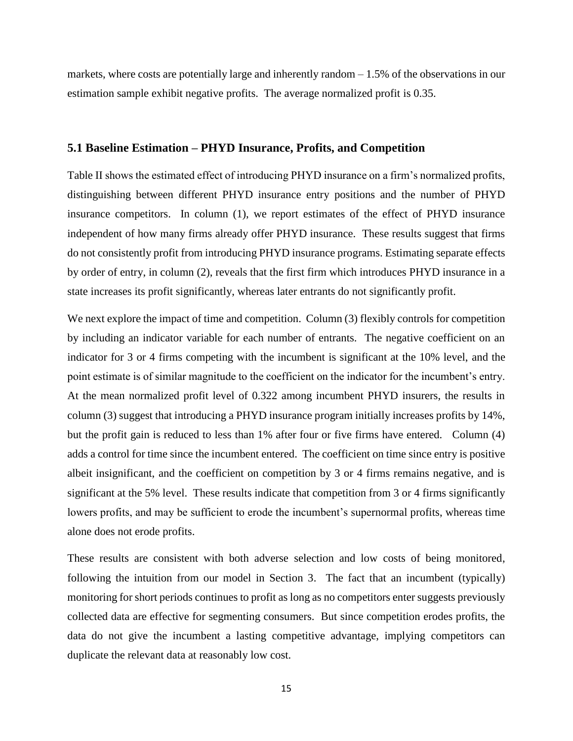markets, where costs are potentially large and inherently random – 1.5% of the observations in our estimation sample exhibit negative profits. The average normalized profit is 0.35.

#### **5.1 Baseline Estimation – PHYD Insurance, Profits, and Competition**

Table II shows the estimated effect of introducing PHYD insurance on a firm's normalized profits, distinguishing between different PHYD insurance entry positions and the number of PHYD insurance competitors. In column (1), we report estimates of the effect of PHYD insurance independent of how many firms already offer PHYD insurance. These results suggest that firms do not consistently profit from introducing PHYD insurance programs. Estimating separate effects by order of entry, in column (2), reveals that the first firm which introduces PHYD insurance in a state increases its profit significantly, whereas later entrants do not significantly profit.

We next explore the impact of time and competition. Column (3) flexibly controls for competition by including an indicator variable for each number of entrants. The negative coefficient on an indicator for 3 or 4 firms competing with the incumbent is significant at the 10% level, and the point estimate is of similar magnitude to the coefficient on the indicator for the incumbent's entry. At the mean normalized profit level of 0.322 among incumbent PHYD insurers, the results in column (3) suggest that introducing a PHYD insurance program initially increases profits by 14%, but the profit gain is reduced to less than 1% after four or five firms have entered. Column (4) adds a control for time since the incumbent entered. The coefficient on time since entry is positive albeit insignificant, and the coefficient on competition by 3 or 4 firms remains negative, and is significant at the 5% level. These results indicate that competition from 3 or 4 firms significantly lowers profits, and may be sufficient to erode the incumbent's supernormal profits, whereas time alone does not erode profits.

These results are consistent with both adverse selection and low costs of being monitored, following the intuition from our model in Section 3. The fact that an incumbent (typically) monitoring for short periods continues to profit as long as no competitors enter suggests previously collected data are effective for segmenting consumers. But since competition erodes profits, the data do not give the incumbent a lasting competitive advantage, implying competitors can duplicate the relevant data at reasonably low cost.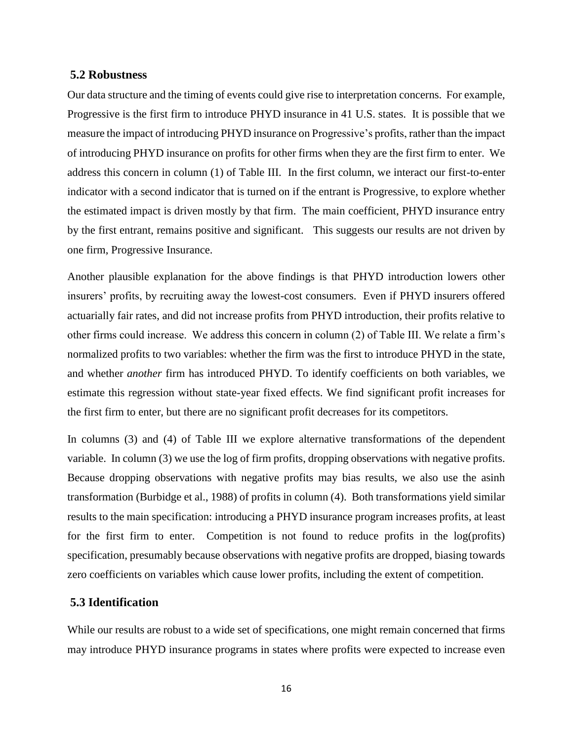#### **5.2 Robustness**

Our data structure and the timing of events could give rise to interpretation concerns. For example, Progressive is the first firm to introduce PHYD insurance in 41 U.S. states. It is possible that we measure the impact of introducing PHYD insurance on Progressive's profits, rather than the impact of introducing PHYD insurance on profits for other firms when they are the first firm to enter. We address this concern in column (1) of Table III. In the first column, we interact our first-to-enter indicator with a second indicator that is turned on if the entrant is Progressive, to explore whether the estimated impact is driven mostly by that firm. The main coefficient, PHYD insurance entry by the first entrant, remains positive and significant. This suggests our results are not driven by one firm, Progressive Insurance.

Another plausible explanation for the above findings is that PHYD introduction lowers other insurers' profits, by recruiting away the lowest-cost consumers. Even if PHYD insurers offered actuarially fair rates, and did not increase profits from PHYD introduction, their profits relative to other firms could increase. We address this concern in column (2) of Table III. We relate a firm's normalized profits to two variables: whether the firm was the first to introduce PHYD in the state, and whether *another* firm has introduced PHYD. To identify coefficients on both variables, we estimate this regression without state-year fixed effects. We find significant profit increases for the first firm to enter, but there are no significant profit decreases for its competitors.

In columns (3) and (4) of Table III we explore alternative transformations of the dependent variable. In column (3) we use the log of firm profits, dropping observations with negative profits. Because dropping observations with negative profits may bias results, we also use the asinh transformation (Burbidge et al., 1988) of profits in column (4). Both transformations yield similar results to the main specification: introducing a PHYD insurance program increases profits, at least for the first firm to enter. Competition is not found to reduce profits in the log(profits) specification, presumably because observations with negative profits are dropped, biasing towards zero coefficients on variables which cause lower profits, including the extent of competition.

### **5.3 Identification**

While our results are robust to a wide set of specifications, one might remain concerned that firms may introduce PHYD insurance programs in states where profits were expected to increase even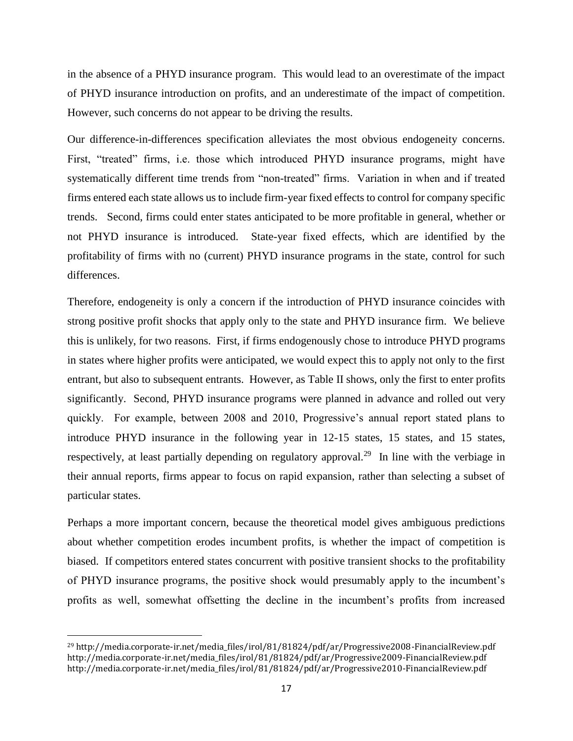in the absence of a PHYD insurance program. This would lead to an overestimate of the impact of PHYD insurance introduction on profits, and an underestimate of the impact of competition. However, such concerns do not appear to be driving the results.

Our difference-in-differences specification alleviates the most obvious endogeneity concerns. First, "treated" firms, i.e. those which introduced PHYD insurance programs, might have systematically different time trends from "non-treated" firms. Variation in when and if treated firms entered each state allows us to include firm-year fixed effects to control for company specific trends. Second, firms could enter states anticipated to be more profitable in general, whether or not PHYD insurance is introduced. State-year fixed effects, which are identified by the profitability of firms with no (current) PHYD insurance programs in the state, control for such differences.

Therefore, endogeneity is only a concern if the introduction of PHYD insurance coincides with strong positive profit shocks that apply only to the state and PHYD insurance firm. We believe this is unlikely, for two reasons. First, if firms endogenously chose to introduce PHYD programs in states where higher profits were anticipated, we would expect this to apply not only to the first entrant, but also to subsequent entrants. However, as Table II shows, only the first to enter profits significantly. Second, PHYD insurance programs were planned in advance and rolled out very quickly. For example, between 2008 and 2010, Progressive's annual report stated plans to introduce PHYD insurance in the following year in 12-15 states, 15 states, and 15 states, respectively, at least partially depending on regulatory approval.<sup>29</sup> In line with the verbiage in their annual reports, firms appear to focus on rapid expansion, rather than selecting a subset of particular states.

Perhaps a more important concern, because the theoretical model gives ambiguous predictions about whether competition erodes incumbent profits, is whether the impact of competition is biased. If competitors entered states concurrent with positive transient shocks to the profitability of PHYD insurance programs, the positive shock would presumably apply to the incumbent's profits as well, somewhat offsetting the decline in the incumbent's profits from increased

<sup>29</sup> [http://media.corporate-ir.net/media\\_files/irol/81/81824/pdf/ar/Progressive2008-FinancialReview.pdf](http://media.corporate-ir.net/media_files/irol/81/81824/pdf/ar/Progressive2008-FinancialReview.pdf) [http://media.corporate-ir.net/media\\_files/irol/81/81824/pdf/ar/Progressive2009-FinancialReview.pdf](http://media.corporate-ir.net/media_files/irol/81/81824/pdf/ar/Progressive2009-FinancialReview.pdf) [http://media.corporate-ir.net/media\\_files/irol/81/81824/pdf/ar/Progressive2010-FinancialReview.pdf](http://media.corporate-ir.net/media_files/irol/81/81824/pdf/ar/Progressive2010-FinancialReview.pdf)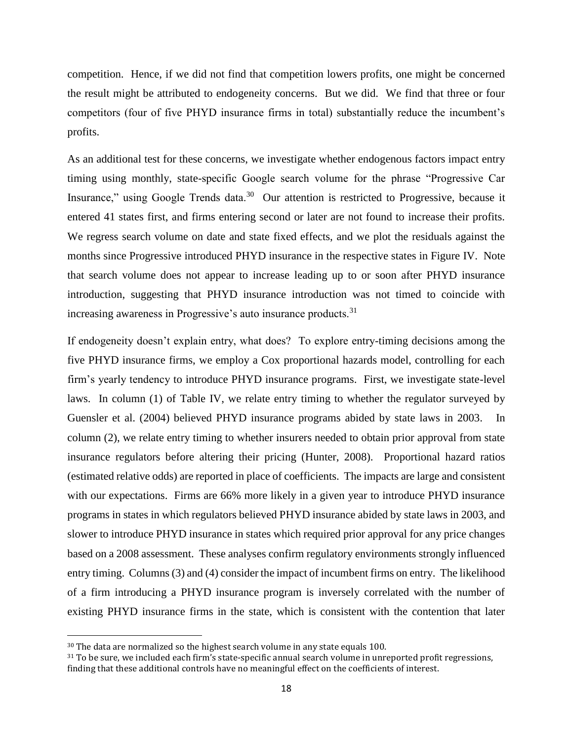competition. Hence, if we did not find that competition lowers profits, one might be concerned the result might be attributed to endogeneity concerns. But we did. We find that three or four competitors (four of five PHYD insurance firms in total) substantially reduce the incumbent's profits.

As an additional test for these concerns, we investigate whether endogenous factors impact entry timing using monthly, state-specific Google search volume for the phrase "Progressive Car Insurance," using Google Trends data.<sup>30</sup> Our attention is restricted to Progressive, because it entered 41 states first, and firms entering second or later are not found to increase their profits. We regress search volume on date and state fixed effects, and we plot the residuals against the months since Progressive introduced PHYD insurance in the respective states in Figure IV. Note that search volume does not appear to increase leading up to or soon after PHYD insurance introduction, suggesting that PHYD insurance introduction was not timed to coincide with increasing awareness in Progressive's auto insurance products.<sup>31</sup>

If endogeneity doesn't explain entry, what does? To explore entry-timing decisions among the five PHYD insurance firms, we employ a Cox proportional hazards model, controlling for each firm's yearly tendency to introduce PHYD insurance programs. First, we investigate state-level laws. In column (1) of Table IV, we relate entry timing to whether the regulator surveyed by Guensler et al. (2004) believed PHYD insurance programs abided by state laws in 2003. In column (2), we relate entry timing to whether insurers needed to obtain prior approval from state insurance regulators before altering their pricing (Hunter, 2008). Proportional hazard ratios (estimated relative odds) are reported in place of coefficients. The impacts are large and consistent with our expectations. Firms are 66% more likely in a given year to introduce PHYD insurance programs in states in which regulators believed PHYD insurance abided by state laws in 2003, and slower to introduce PHYD insurance in states which required prior approval for any price changes based on a 2008 assessment. These analyses confirm regulatory environments strongly influenced entry timing. Columns (3) and (4) consider the impact of incumbent firms on entry. The likelihood of a firm introducing a PHYD insurance program is inversely correlated with the number of existing PHYD insurance firms in the state, which is consistent with the contention that later

<sup>&</sup>lt;sup>30</sup> The data are normalized so the highest search volume in any state equals 100.

<sup>&</sup>lt;sup>31</sup> To be sure, we included each firm's state-specific annual search volume in unreported profit regressions, finding that these additional controls have no meaningful effect on the coefficients of interest.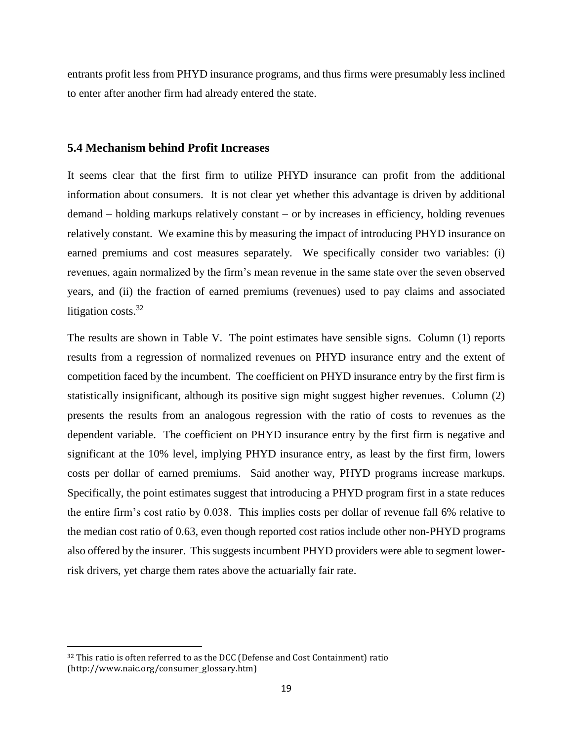entrants profit less from PHYD insurance programs, and thus firms were presumably less inclined to enter after another firm had already entered the state.

### **5.4 Mechanism behind Profit Increases**

It seems clear that the first firm to utilize PHYD insurance can profit from the additional information about consumers. It is not clear yet whether this advantage is driven by additional demand – holding markups relatively constant – or by increases in efficiency, holding revenues relatively constant. We examine this by measuring the impact of introducing PHYD insurance on earned premiums and cost measures separately. We specifically consider two variables: (i) revenues, again normalized by the firm's mean revenue in the same state over the seven observed years, and (ii) the fraction of earned premiums (revenues) used to pay claims and associated litigation costs.<sup>32</sup>

The results are shown in Table V. The point estimates have sensible signs. Column (1) reports results from a regression of normalized revenues on PHYD insurance entry and the extent of competition faced by the incumbent. The coefficient on PHYD insurance entry by the first firm is statistically insignificant, although its positive sign might suggest higher revenues. Column (2) presents the results from an analogous regression with the ratio of costs to revenues as the dependent variable. The coefficient on PHYD insurance entry by the first firm is negative and significant at the 10% level, implying PHYD insurance entry, as least by the first firm, lowers costs per dollar of earned premiums. Said another way, PHYD programs increase markups. Specifically, the point estimates suggest that introducing a PHYD program first in a state reduces the entire firm's cost ratio by 0.038. This implies costs per dollar of revenue fall 6% relative to the median cost ratio of 0.63, even though reported cost ratios include other non-PHYD programs also offered by the insurer. This suggests incumbent PHYD providers were able to segment lowerrisk drivers, yet charge them rates above the actuarially fair rate.

<sup>&</sup>lt;sup>32</sup> This ratio is often referred to as the DCC (Defense and Cost Containment) ratio (http://www.naic.org/consumer\_glossary.htm)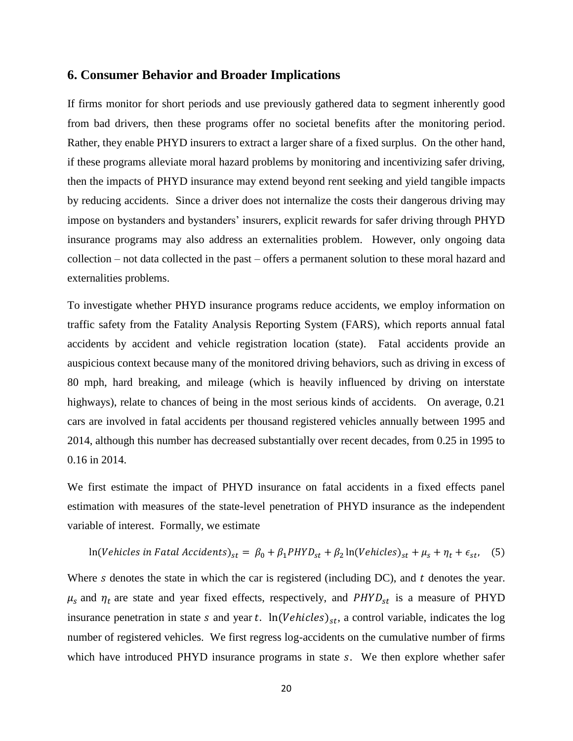### **6. Consumer Behavior and Broader Implications**

If firms monitor for short periods and use previously gathered data to segment inherently good from bad drivers, then these programs offer no societal benefits after the monitoring period. Rather, they enable PHYD insurers to extract a larger share of a fixed surplus. On the other hand, if these programs alleviate moral hazard problems by monitoring and incentivizing safer driving, then the impacts of PHYD insurance may extend beyond rent seeking and yield tangible impacts by reducing accidents. Since a driver does not internalize the costs their dangerous driving may impose on bystanders and bystanders' insurers, explicit rewards for safer driving through PHYD insurance programs may also address an externalities problem. However, only ongoing data collection – not data collected in the past – offers a permanent solution to these moral hazard and externalities problems.

To investigate whether PHYD insurance programs reduce accidents, we employ information on traffic safety from the Fatality Analysis Reporting System (FARS), which reports annual fatal accidents by accident and vehicle registration location (state). Fatal accidents provide an auspicious context because many of the monitored driving behaviors, such as driving in excess of 80 mph, hard breaking, and mileage (which is heavily influenced by driving on interstate highways), relate to chances of being in the most serious kinds of accidents. On average, 0.21 cars are involved in fatal accidents per thousand registered vehicles annually between 1995 and 2014, although this number has decreased substantially over recent decades, from 0.25 in 1995 to 0.16 in 2014.

We first estimate the impact of PHYD insurance on fatal accidents in a fixed effects panel estimation with measures of the state-level penetration of PHYD insurance as the independent variable of interest. Formally, we estimate

$$
\ln(Vehicles \text{ in } \text{Fatal Accidents})_{st} = \beta_0 + \beta_1 PHYD_{st} + \beta_2 \ln(Vehicles)_{st} + \mu_s + \eta_t + \epsilon_{st}, \quad (5)
$$

Where  $s$  denotes the state in which the car is registered (including DC), and  $t$  denotes the year.  $\mu_s$  and  $\eta_t$  are state and year fixed effects, respectively, and PHYD<sub>st</sub> is a measure of PHYD insurance penetration in state s and year t.  $ln(Vehicles)_{st}$ , a control variable, indicates the log number of registered vehicles. We first regress log-accidents on the cumulative number of firms which have introduced PHYD insurance programs in state  $s$ . We then explore whether safer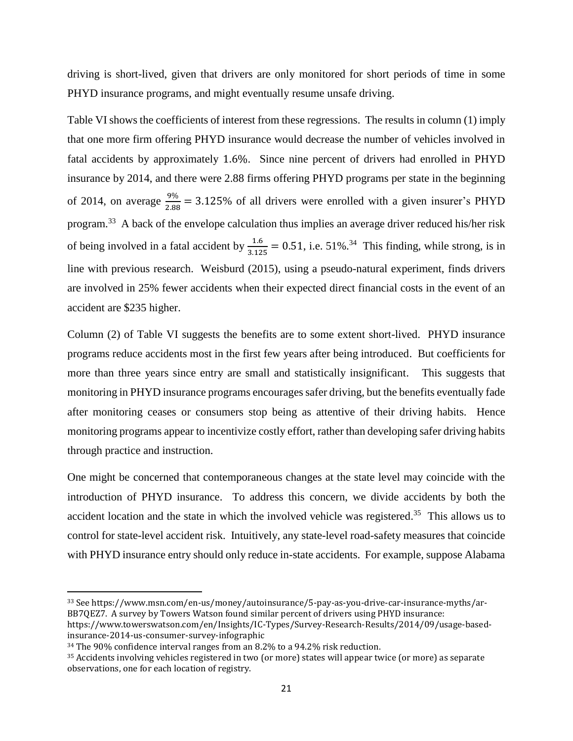driving is short-lived, given that drivers are only monitored for short periods of time in some PHYD insurance programs, and might eventually resume unsafe driving.

Table VI shows the coefficients of interest from these regressions. The results in column (1) imply that one more firm offering PHYD insurance would decrease the number of vehicles involved in fatal accidents by approximately 1.6%. Since nine percent of drivers had enrolled in PHYD insurance by 2014, and there were 2.88 firms offering PHYD programs per state in the beginning of 2014, on average  $\frac{9\%}{2.88}$  = 3.125% of all drivers were enrolled with a given insurer's PHYD program.<sup>33</sup> A back of the envelope calculation thus implies an average driver reduced his/her risk of being involved in a fatal accident by  $\frac{1.6}{3.125} = 0.51$ , i.e. 51%.<sup>34</sup> This finding, while strong, is in line with previous research. Weisburd (2015), using a pseudo-natural experiment, finds drivers are involved in 25% fewer accidents when their expected direct financial costs in the event of an accident are \$235 higher.

Column (2) of Table VI suggests the benefits are to some extent short-lived. PHYD insurance programs reduce accidents most in the first few years after being introduced. But coefficients for more than three years since entry are small and statistically insignificant. This suggests that monitoring in PHYD insurance programs encourages safer driving, but the benefits eventually fade after monitoring ceases or consumers stop being as attentive of their driving habits. Hence monitoring programs appear to incentivize costly effort, rather than developing safer driving habits through practice and instruction.

One might be concerned that contemporaneous changes at the state level may coincide with the introduction of PHYD insurance. To address this concern, we divide accidents by both the accident location and the state in which the involved vehicle was registered.<sup>35</sup> This allows us to control for state-level accident risk. Intuitively, any state-level road-safety measures that coincide with PHYD insurance entry should only reduce in-state accidents. For example, suppose Alabama

l

<sup>33</sup> See https://www.msn.com/en-us/money/autoinsurance/5-pay-as-you-drive-car-insurance-myths/ar-BB7QEZ7. A survey by Towers Watson found similar percent of drivers using PHYD insurance:

https://www.towerswatson.com/en/Insights/IC-Types/Survey-Research-Results/2014/09/usage-basedinsurance-2014-us-consumer-survey-infographic

<sup>34</sup> The 90% confidence interval ranges from an 8.2% to a 94.2% risk reduction.

<sup>35</sup> Accidents involving vehicles registered in two (or more) states will appear twice (or more) as separate observations, one for each location of registry.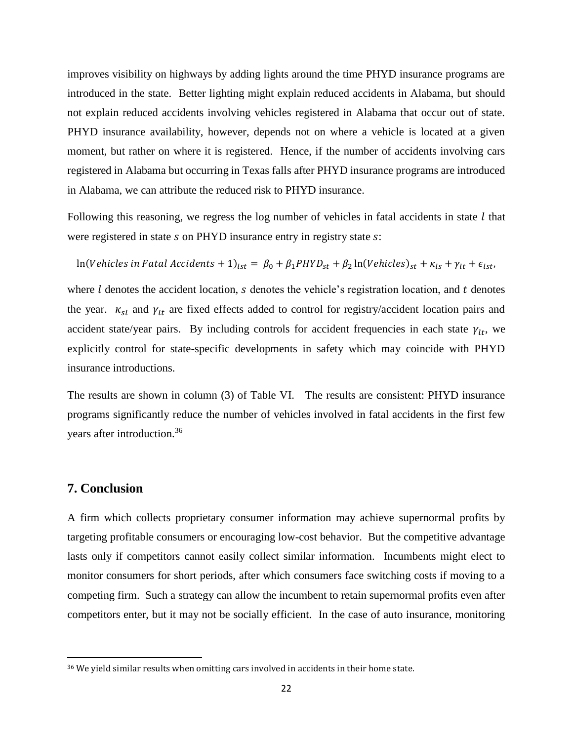improves visibility on highways by adding lights around the time PHYD insurance programs are introduced in the state. Better lighting might explain reduced accidents in Alabama, but should not explain reduced accidents involving vehicles registered in Alabama that occur out of state. PHYD insurance availability, however, depends not on where a vehicle is located at a given moment, but rather on where it is registered. Hence, if the number of accidents involving cars registered in Alabama but occurring in Texas falls after PHYD insurance programs are introduced in Alabama, we can attribute the reduced risk to PHYD insurance.

Following this reasoning, we regress the log number of vehicles in fatal accidents in state  $l$  that were registered in state s on PHYD insurance entry in registry state s:

 $\ln(Vehicles$  in Fatal Accidents + 1)<sub>lst</sub> =  $\beta_0 + \beta_1 PHYD_{st} + \beta_2 \ln(Vehicles)_{st} + \kappa_{ls} + \gamma_{lt} + \epsilon_{lst}$ 

where  $l$  denotes the accident location,  $s$  denotes the vehicle's registration location, and  $t$  denotes the year.  $\kappa_{sl}$  and  $\gamma_{lt}$  are fixed effects added to control for registry/accident location pairs and accident state/year pairs. By including controls for accident frequencies in each state  $\gamma_{lt}$ , we explicitly control for state-specific developments in safety which may coincide with PHYD insurance introductions.

The results are shown in column (3) of Table VI. The results are consistent: PHYD insurance programs significantly reduce the number of vehicles involved in fatal accidents in the first few years after introduction.<sup>36</sup>

### **7. Conclusion**

 $\overline{\phantom{a}}$ 

A firm which collects proprietary consumer information may achieve supernormal profits by targeting profitable consumers or encouraging low-cost behavior. But the competitive advantage lasts only if competitors cannot easily collect similar information. Incumbents might elect to monitor consumers for short periods, after which consumers face switching costs if moving to a competing firm. Such a strategy can allow the incumbent to retain supernormal profits even after competitors enter, but it may not be socially efficient. In the case of auto insurance, monitoring

<sup>&</sup>lt;sup>36</sup> We yield similar results when omitting cars involved in accidents in their home state.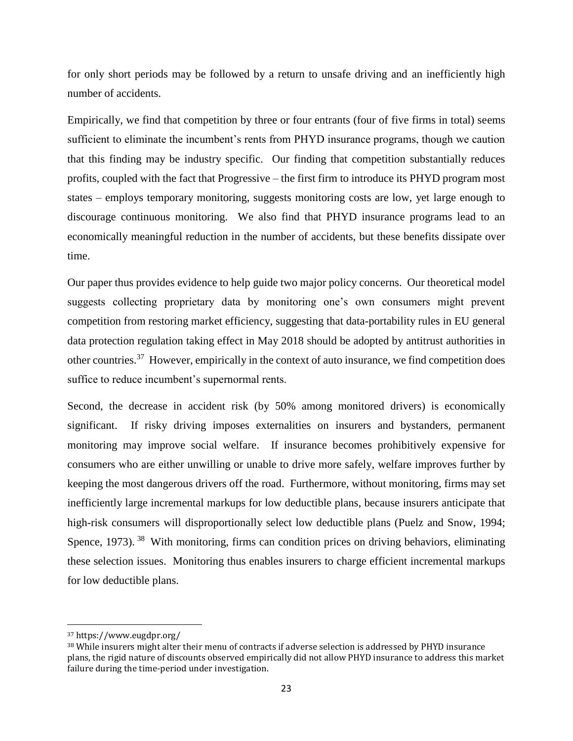for only short periods may be followed by a return to unsafe driving and an inefficiently high number of accidents.

Empirically, we find that competition by three or four entrants (four of five firms in total) seems sufficient to eliminate the incumbent's rents from PHYD insurance programs, though we caution that this finding may be industry specific. Our finding that competition substantially reduces profits, coupled with the fact that Progressive – the first firm to introduce its PHYD program most states – employs temporary monitoring, suggests monitoring costs are low, yet large enough to discourage continuous monitoring. We also find that PHYD insurance programs lead to an economically meaningful reduction in the number of accidents, but these benefits dissipate over time.

Our paper thus provides evidence to help guide two major policy concerns. Our theoretical model suggests collecting proprietary data by monitoring one's own consumers might prevent competition from restoring market efficiency, suggesting that data-portability rules in EU general data protection regulation taking effect in May 2018 should be adopted by antitrust authorities in other countries.<sup>37</sup> However, empirically in the context of auto insurance, we find competition does suffice to reduce incumbent's supernormal rents.

Second, the decrease in accident risk (by 50% among monitored drivers) is economically significant. If risky driving imposes externalities on insurers and bystanders, permanent monitoring may improve social welfare. If insurance becomes prohibitively expensive for consumers who are either unwilling or unable to drive more safely, welfare improves further by keeping the most dangerous drivers off the road. Furthermore, without monitoring, firms may set inefficiently large incremental markups for low deductible plans, because insurers anticipate that high-risk consumers will disproportionally select low deductible plans (Puelz and Snow, 1994; Spence, 1973). <sup>38</sup> With monitoring, firms can condition prices on driving behaviors, eliminating these selection issues. Monitoring thus enables insurers to charge efficient incremental markups for low deductible plans.

 $\overline{a}$ 

<sup>37</sup> https://www.eugdpr.org/

<sup>&</sup>lt;sup>38</sup> While insurers might alter their menu of contracts if adverse selection is addressed by PHYD insurance plans, the rigid nature of discounts observed empirically did not allow PHYD insurance to address this market failure during the time-period under investigation.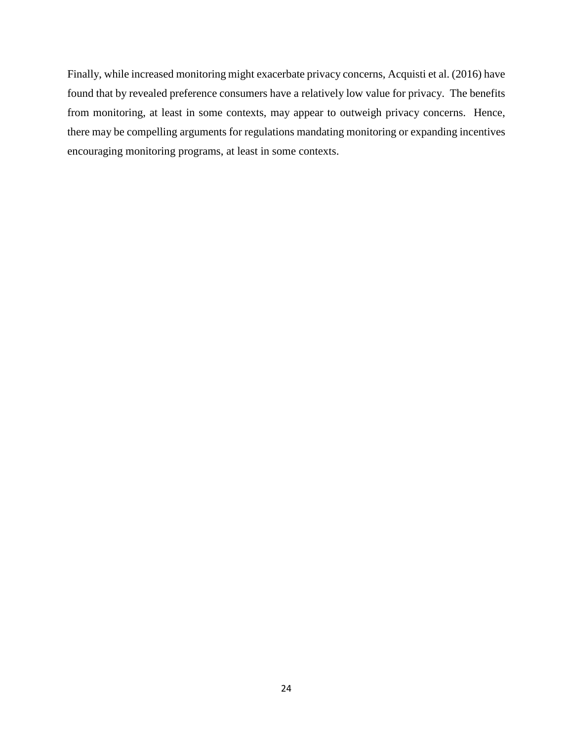Finally, while increased monitoring might exacerbate privacy concerns, Acquisti et al. (2016) have found that by revealed preference consumers have a relatively low value for privacy. The benefits from monitoring, at least in some contexts, may appear to outweigh privacy concerns. Hence, there may be compelling arguments for regulations mandating monitoring or expanding incentives encouraging monitoring programs, at least in some contexts.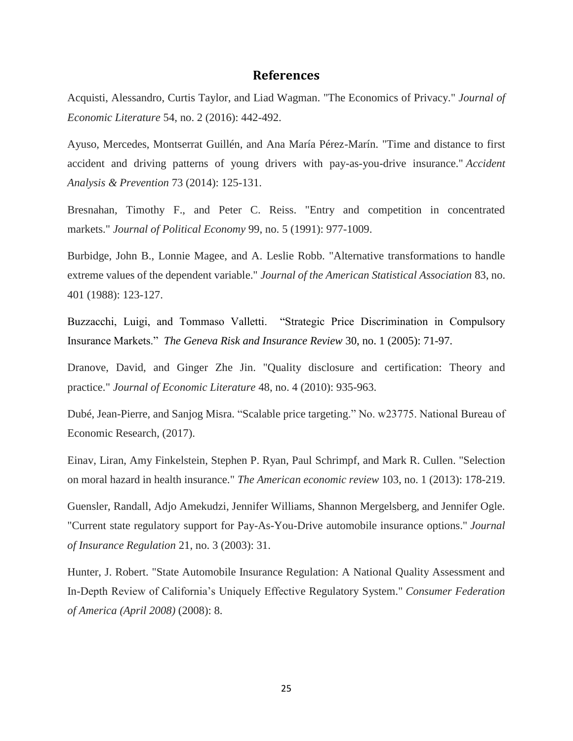### **References**

Acquisti, Alessandro, Curtis Taylor, and Liad Wagman. "The Economics of Privacy." *Journal of Economic Literature* 54, no. 2 (2016): 442-492.

Ayuso, Mercedes, Montserrat Guillén, and Ana María Pérez-Marín. "Time and distance to first accident and driving patterns of young drivers with pay-as-you-drive insurance." *Accident Analysis & Prevention* 73 (2014): 125-131.

Bresnahan, Timothy F., and Peter C. Reiss. "Entry and competition in concentrated markets." *Journal of Political Economy* 99, no. 5 (1991): 977-1009.

Burbidge, John B., Lonnie Magee, and A. Leslie Robb. "Alternative transformations to handle extreme values of the dependent variable." *Journal of the American Statistical Association* 83, no. 401 (1988): 123-127.

Buzzacchi, Luigi, and Tommaso Valletti. "Strategic Price Discrimination in Compulsory Insurance Markets." *The Geneva Risk and Insurance Review* 30, no. 1 (2005): 71-97.

Dranove, David, and Ginger Zhe Jin. "Quality disclosure and certification: Theory and practice." *Journal of Economic Literature* 48, no. 4 (2010): 935-963.

Dubé, Jean-Pierre, and Sanjog Misra. "Scalable price targeting." No. w23775. National Bureau of Economic Research, (2017).

Einav, Liran, Amy Finkelstein, Stephen P. Ryan, Paul Schrimpf, and Mark R. Cullen. "Selection on moral hazard in health insurance." *The American economic review* 103, no. 1 (2013): 178-219.

Guensler, Randall, Adjo Amekudzi, Jennifer Williams, Shannon Mergelsberg, and Jennifer Ogle. "Current state regulatory support for Pay-As-You-Drive automobile insurance options." *Journal of Insurance Regulation* 21, no. 3 (2003): 31.

Hunter, J. Robert. "State Automobile Insurance Regulation: A National Quality Assessment and In-Depth Review of California's Uniquely Effective Regulatory System." *Consumer Federation of America (April 2008)* (2008): 8.

25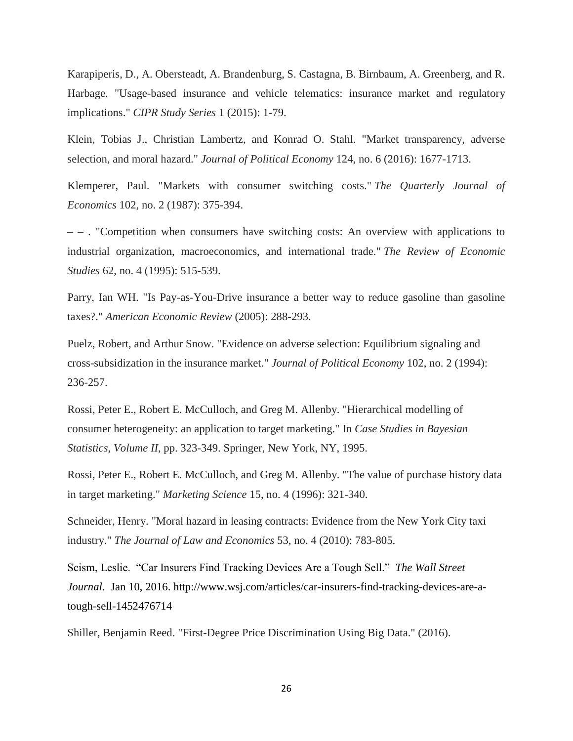Karapiperis, D., A. Obersteadt, A. Brandenburg, S. Castagna, B. Birnbaum, A. Greenberg, and R. Harbage. "Usage-based insurance and vehicle telematics: insurance market and regulatory implications." *CIPR Study Series* 1 (2015): 1-79.

Klein, Tobias J., Christian Lambertz, and Konrad O. Stahl. "Market transparency, adverse selection, and moral hazard." *Journal of Political Economy* 124, no. 6 (2016): 1677-1713.

Klemperer, Paul. "Markets with consumer switching costs." *The Quarterly Journal of Economics* 102, no. 2 (1987): 375-394.

– – . "Competition when consumers have switching costs: An overview with applications to industrial organization, macroeconomics, and international trade." *The Review of Economic Studies* 62, no. 4 (1995): 515-539.

Parry, Ian WH. "Is Pay-as-You-Drive insurance a better way to reduce gasoline than gasoline taxes?." *American Economic Review* (2005): 288-293.

Puelz, Robert, and Arthur Snow. "Evidence on adverse selection: Equilibrium signaling and cross-subsidization in the insurance market." *Journal of Political Economy* 102, no. 2 (1994): 236-257.

Rossi, Peter E., Robert E. McCulloch, and Greg M. Allenby. "Hierarchical modelling of consumer heterogeneity: an application to target marketing." In *Case Studies in Bayesian Statistics, Volume II*, pp. 323-349. Springer, New York, NY, 1995.

Rossi, Peter E., Robert E. McCulloch, and Greg M. Allenby. "The value of purchase history data in target marketing." *Marketing Science* 15, no. 4 (1996): 321-340.

Schneider, Henry. "Moral hazard in leasing contracts: Evidence from the New York City taxi industry." *The Journal of Law and Economics* 53, no. 4 (2010): 783-805.

Scism, Leslie. "Car Insurers Find Tracking Devices Are a Tough Sell." *The Wall Street Journal*. Jan 10, 2016. [http://www.wsj.com/articles/car-insurers-find-tracking-devices-are-a](http://www.wsj.com/articles/car-insurers-find-tracking-devices-are-a-tough-sell-1452476714)[tough-sell-1452476714](http://www.wsj.com/articles/car-insurers-find-tracking-devices-are-a-tough-sell-1452476714)

Shiller, Benjamin Reed. "First-Degree Price Discrimination Using Big Data." (2016).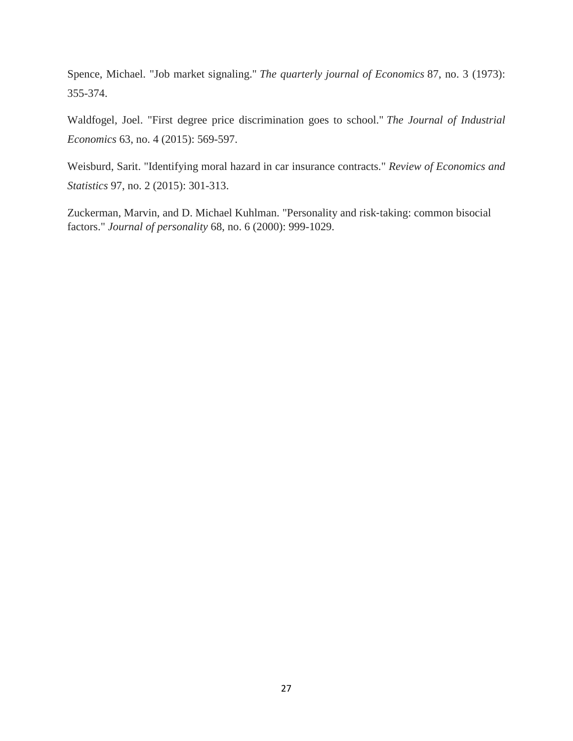Spence, Michael. "Job market signaling." *The quarterly journal of Economics* 87, no. 3 (1973): 355-374.

Waldfogel, Joel. "First degree price discrimination goes to school." *The Journal of Industrial Economics* 63, no. 4 (2015): 569-597.

Weisburd, Sarit. "Identifying moral hazard in car insurance contracts." *Review of Economics and Statistics* 97, no. 2 (2015): 301-313.

Zuckerman, Marvin, and D. Michael Kuhlman. "Personality and risk‐taking: common bisocial factors." *Journal of personality* 68, no. 6 (2000): 999-1029.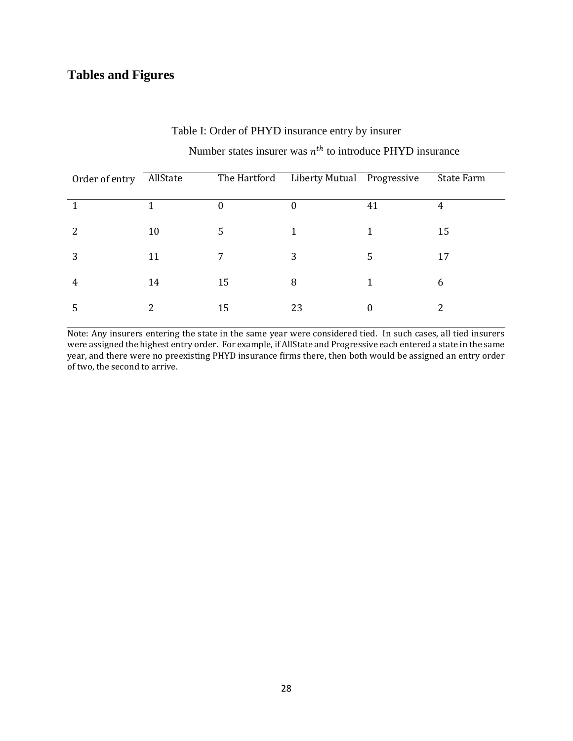## **Tables and Figures**

|                | Number states insurer was $n^{th}$ to introduce PHYD insurance |              |                            |    |                   |
|----------------|----------------------------------------------------------------|--------------|----------------------------|----|-------------------|
| Order of entry | AllState                                                       | The Hartford | Liberty Mutual Progressive |    | <b>State Farm</b> |
|                |                                                                | 0            | 0                          | 41 | 4                 |
| 2              | 10                                                             | 5            | 1                          |    | 15                |
| 3              | 11                                                             | 7            | 3                          | 5  | 17                |
| 4              | 14                                                             | 15           | 8                          |    | 6                 |
| 5              | 2                                                              | 15           | 23                         | 0  | 2                 |

### Table I: Order of PHYD insurance entry by insurer

Note: Any insurers entering the state in the same year were considered tied. In such cases, all tied insurers were assigned the highest entry order. For example, if AllState and Progressive each entered a state in the same year, and there were no preexisting PHYD insurance firms there, then both would be assigned an entry order of two, the second to arrive.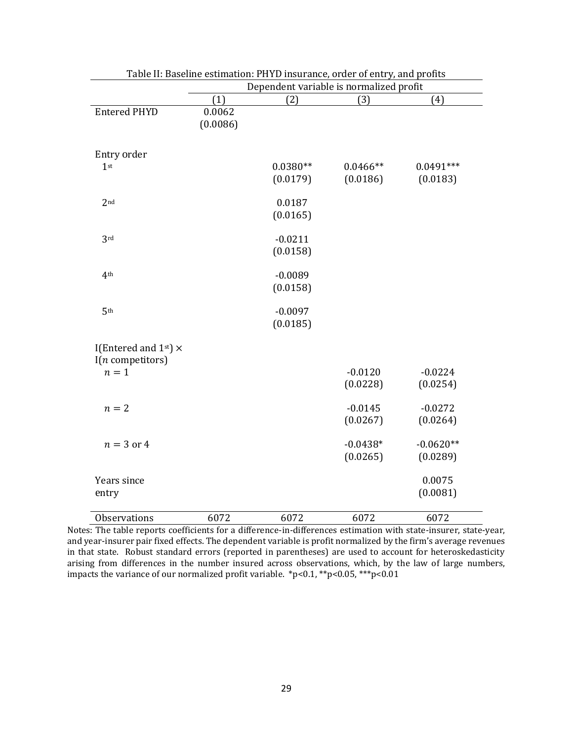|                                                         | Dependent variable is normalized profit |            |            |             |
|---------------------------------------------------------|-----------------------------------------|------------|------------|-------------|
|                                                         | (1)                                     | (2)        | (3)        | (4)         |
| <b>Entered PHYD</b>                                     | 0.0062                                  |            |            |             |
|                                                         | (0.0086)                                |            |            |             |
|                                                         |                                         |            |            |             |
| Entry order                                             |                                         |            |            |             |
| 1 <sup>st</sup>                                         |                                         | $0.0380**$ | $0.0466**$ | $0.0491***$ |
|                                                         |                                         | (0.0179)   | (0.0186)   | (0.0183)    |
|                                                         |                                         |            |            |             |
| 2 <sub>nd</sub>                                         |                                         | 0.0187     |            |             |
|                                                         |                                         | (0.0165)   |            |             |
| 3rd                                                     |                                         | $-0.0211$  |            |             |
|                                                         |                                         | (0.0158)   |            |             |
|                                                         |                                         |            |            |             |
| 4 <sup>th</sup>                                         |                                         | $-0.0089$  |            |             |
|                                                         |                                         | (0.0158)   |            |             |
|                                                         |                                         |            |            |             |
| 5 <sup>th</sup>                                         |                                         | $-0.0097$  |            |             |
|                                                         |                                         | (0.0185)   |            |             |
|                                                         |                                         |            |            |             |
| I(Entered and $1^{st}$ ) $\times$<br>$I(n$ competitors) |                                         |            |            |             |
| $n=1$                                                   |                                         |            | $-0.0120$  | $-0.0224$   |
|                                                         |                                         |            | (0.0228)   | (0.0254)    |
|                                                         |                                         |            |            |             |
| $n=2$                                                   |                                         |            | $-0.0145$  | $-0.0272$   |
|                                                         |                                         |            | (0.0267)   | (0.0264)    |
|                                                         |                                         |            |            |             |
| $n = 3$ or 4                                            |                                         |            | $-0.0438*$ | $-0.0620**$ |
|                                                         |                                         |            | (0.0265)   | (0.0289)    |
| Years since                                             |                                         |            |            | 0.0075      |
| entry                                                   |                                         |            |            | (0.0081)    |
|                                                         |                                         |            |            |             |
| Observations                                            | 6072                                    | 6072       | 6072       | 6072        |

| Table II: Baseline estimation: PHYD insurance, order of entry, and profits |  |
|----------------------------------------------------------------------------|--|
|                                                                            |  |

Notes: The table reports coefficients for a difference-in-differences estimation with state-insurer, state-year, and year-insurer pair fixed effects. The dependent variable is profit normalized by the firm's average revenues in that state. Robust standard errors (reported in parentheses) are used to account for heteroskedasticity arising from differences in the number insured across observations, which, by the law of large numbers, impacts the variance of our normalized profit variable. \*p<0.1, \*\*p<0.05, \*\*\*p<0.01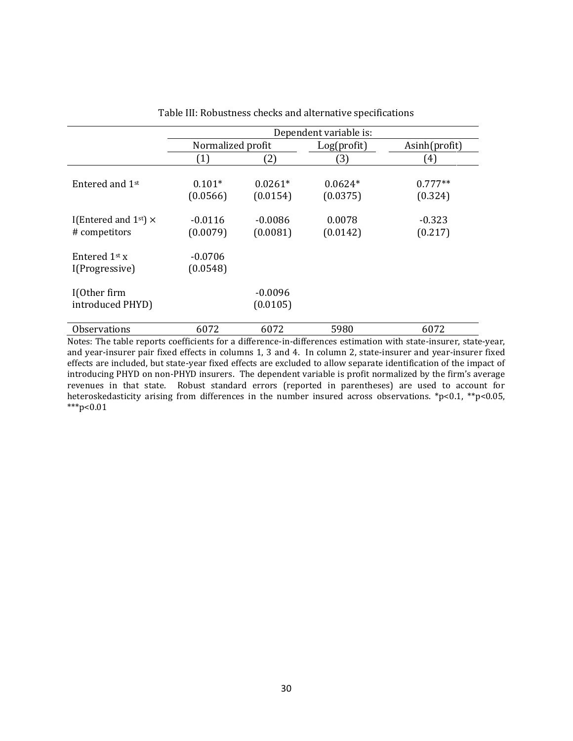|                                                 | Dependent variable is: |                       |                       |                      |  |
|-------------------------------------------------|------------------------|-----------------------|-----------------------|----------------------|--|
|                                                 | Normalized profit      |                       | Log(profit)           | Asinh(profit)        |  |
|                                                 | (1)                    | (2)                   | (3)                   | (4)                  |  |
| Entered and 1st                                 | $0.101*$<br>(0.0566)   | $0.0261*$<br>(0.0154) | $0.0624*$<br>(0.0375) | $0.777**$<br>(0.324) |  |
| I(Entered and $1st$ ) $\times$<br># competitors | $-0.0116$<br>(0.0079)  | $-0.0086$<br>(0.0081) | 0.0078<br>(0.0142)    | $-0.323$<br>(0.217)  |  |
| Entered 1 <sup>st</sup> x<br>I(Progressive)     | $-0.0706$<br>(0.0548)  |                       |                       |                      |  |
| I(Other firm<br>introduced PHYD)                |                        | $-0.0096$<br>(0.0105) |                       |                      |  |
| <b>Observations</b>                             | 6072                   | 6072                  | 5980                  | 6072                 |  |

| Table III: Robustness checks and alternative specifications |  |  |
|-------------------------------------------------------------|--|--|
|-------------------------------------------------------------|--|--|

Notes: The table reports coefficients for a difference-in-differences estimation with state-insurer, state-year, and year-insurer pair fixed effects in columns 1, 3 and 4. In column 2, state-insurer and year-insurer fixed effects are included, but state-year fixed effects are excluded to allow separate identification of the impact of introducing PHYD on non-PHYD insurers. The dependent variable is profit normalized by the firm's average revenues in that state. Robust standard errors (reported in parentheses) are used to account for heteroskedasticity arising from differences in the number insured across observations. \*p<0.1, \*\*p<0.05,  $***p<0.01$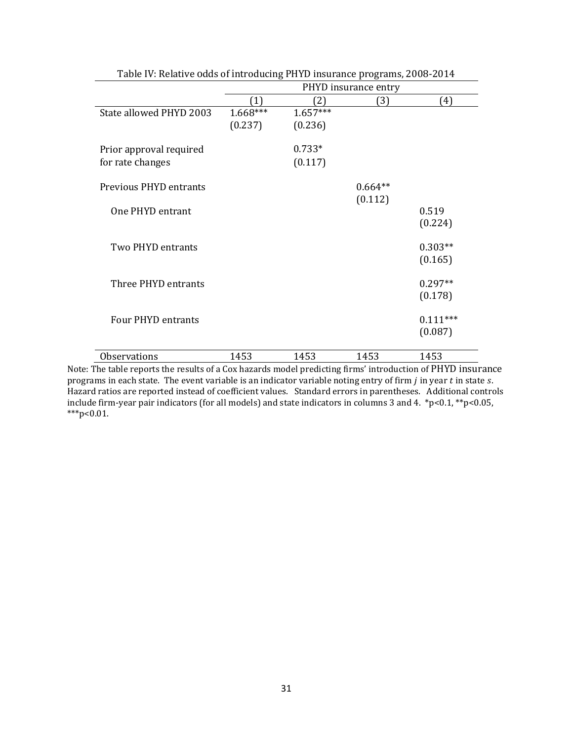|                               | PHYD insurance entry |            |           |            |
|-------------------------------|----------------------|------------|-----------|------------|
|                               |                      | 21)        | (3)       | (4)        |
| State allowed PHYD 2003       | 1.668***             | $1.657***$ |           |            |
|                               | (0.237)              | (0.236)    |           |            |
| Prior approval required       |                      | $0.733*$   |           |            |
| for rate changes              |                      | (0.117)    |           |            |
| <b>Previous PHYD entrants</b> |                      |            | $0.664**$ |            |
|                               |                      |            | (0.112)   |            |
| One PHYD entrant              |                      |            |           | 0.519      |
|                               |                      |            |           | (0.224)    |
| Two PHYD entrants             |                      |            |           | $0.303**$  |
|                               |                      |            |           | (0.165)    |
| Three PHYD entrants           |                      |            |           | $0.297**$  |
|                               |                      |            |           | (0.178)    |
| <b>Four PHYD entrants</b>     |                      |            |           | $0.111***$ |
|                               |                      |            |           | (0.087)    |
| <b>Observations</b>           | 1453                 | 1453       | 1453      | 1453       |

Table IV: Relative odds of introducing PHYD insurance programs, 2008-2014

Note: The table reports the results of a Cox hazards model predicting firms' introduction of PHYD insurance programs in each state. The event variable is an indicator variable noting entry of firm  $j$  in year  $t$  in state  $s$ . Hazard ratios are reported instead of coefficient values. Standard errors in parentheses. Additional controls include firm-year pair indicators (for all models) and state indicators in columns 3 and 4. \*p<0.1, \*\*p<0.05,  $***p<0.01$ .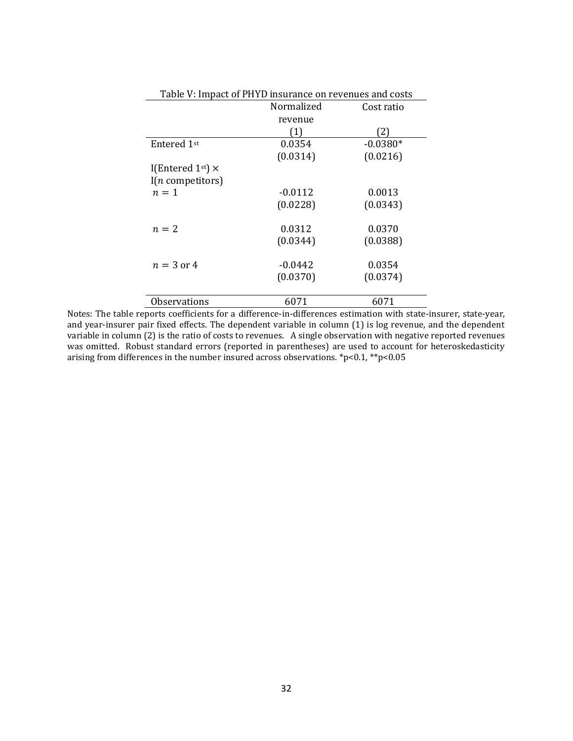| Table V: Impact of PHYD insurance on revenues and costs |            |            |  |  |  |
|---------------------------------------------------------|------------|------------|--|--|--|
|                                                         | Normalized | Cost ratio |  |  |  |
|                                                         | revenue    |            |  |  |  |
|                                                         | 1)         | 21         |  |  |  |
| Entered 1 <sup>st</sup>                                 | 0.0354     | $-0.0380*$ |  |  |  |
|                                                         | (0.0314)   | (0.0216)   |  |  |  |
| I(Entered 1st) $\times$                                 |            |            |  |  |  |
| $I(n$ competitors)                                      |            |            |  |  |  |
| $n=1$                                                   | $-0.0112$  | 0.0013     |  |  |  |
|                                                         | (0.0228)   | (0.0343)   |  |  |  |
| $n=2$                                                   | 0.0312     | 0.0370     |  |  |  |
|                                                         | (0.0344)   | (0.0388)   |  |  |  |
| $n = 3$ or 4                                            | $-0.0442$  | 0.0354     |  |  |  |
|                                                         | (0.0370)   | (0.0374)   |  |  |  |
| Observations                                            | 6071       | 6071       |  |  |  |

Notes: The table reports coefficients for a difference-in-differences estimation with state-insurer, state-year, and year-insurer pair fixed effects. The dependent variable in column (1) is log revenue, and the dependent variable in column (2) is the ratio of costs to revenues. A single observation with negative reported revenues was omitted. Robust standard errors (reported in parentheses) are used to account for heteroskedasticity arising from differences in the number insured across observations. \*p<0.1, \*\*p<0.05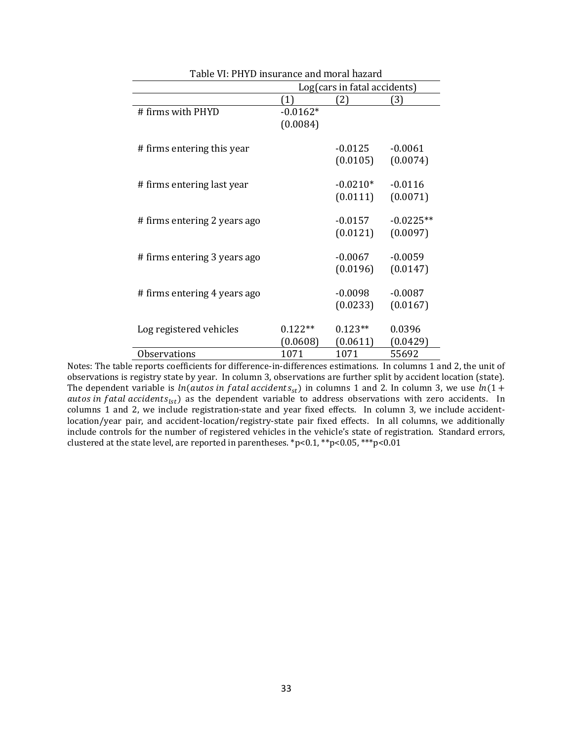|                              | rabic vi. 1 111 <i>D</i> modrance and moral in |            |             |  |  |
|------------------------------|------------------------------------------------|------------|-------------|--|--|
|                              | Log(cars in fatal accidents)                   |            |             |  |  |
|                              | (1)                                            | (2)        | (3)         |  |  |
| # firms with PHYD            | $-0.0162*$                                     |            |             |  |  |
|                              | (0.0084)                                       |            |             |  |  |
|                              |                                                |            |             |  |  |
| # firms entering this year   |                                                | $-0.0125$  | $-0.0061$   |  |  |
|                              |                                                | (0.0105)   | (0.0074)    |  |  |
|                              |                                                |            |             |  |  |
| # firms entering last year   |                                                | $-0.0210*$ | $-0.0116$   |  |  |
|                              |                                                | (0.0111)   | (0.0071)    |  |  |
|                              |                                                |            |             |  |  |
| # firms entering 2 years ago |                                                | $-0.0157$  | $-0.0225**$ |  |  |
|                              |                                                | (0.0121)   | (0.0097)    |  |  |
|                              |                                                |            |             |  |  |
| # firms entering 3 years ago |                                                | $-0.0067$  | $-0.0059$   |  |  |
|                              |                                                | (0.0196)   | (0.0147)    |  |  |
|                              |                                                |            |             |  |  |
| # firms entering 4 years ago |                                                | $-0.0098$  | $-0.0087$   |  |  |
|                              |                                                | (0.0233)   | (0.0167)    |  |  |
|                              |                                                |            |             |  |  |
|                              |                                                |            |             |  |  |
| Log registered vehicles      | $0.122**$                                      | $0.123**$  | 0.0396      |  |  |
|                              | (0.0608)                                       | (0.0611)   | (0.0429)    |  |  |
| <b>Observations</b>          | 1071                                           | 1071       | 55692       |  |  |

| Table VI: PHYD insurance and moral hazard |  |
|-------------------------------------------|--|
|-------------------------------------------|--|

Notes: The table reports coefficients for difference-in-differences estimations. In columns 1 and 2, the unit of observations is registry state by year. In column 3, observations are further split by accident location (state). The dependent variable is  $ln(autos in fatal\ accidents_{st})$  in columns 1 and 2. In column 3, we use  $ln(1+$ autos in fatal accidents<sub>lst</sub>) as the dependent variable to address observations with zero accidents. In columns 1 and 2, we include registration-state and year fixed effects. In column 3, we include accidentlocation/year pair, and accident-location/registry-state pair fixed effects. In all columns, we additionally include controls for the number of registered vehicles in the vehicle's state of registration. Standard errors, clustered at the state level, are reported in parentheses. \*p<0.1, \*\*p<0.05, \*\*\*p<0.01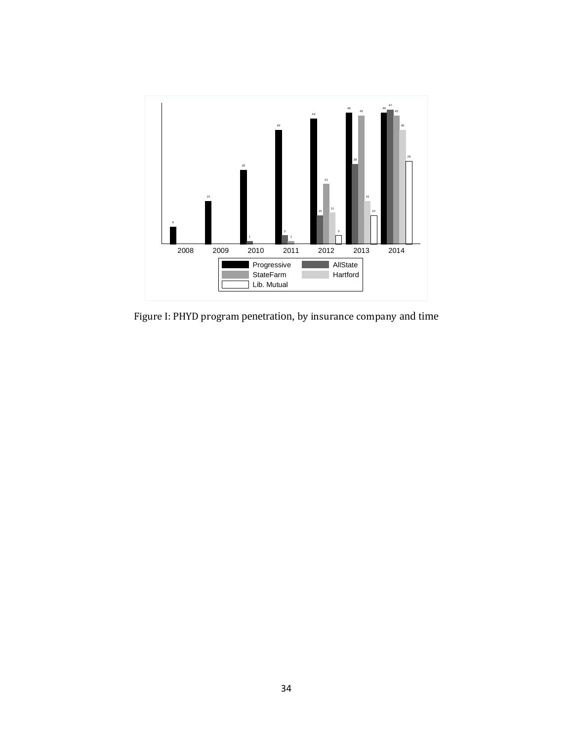

Figure I: PHYD program penetration, by insurance company and time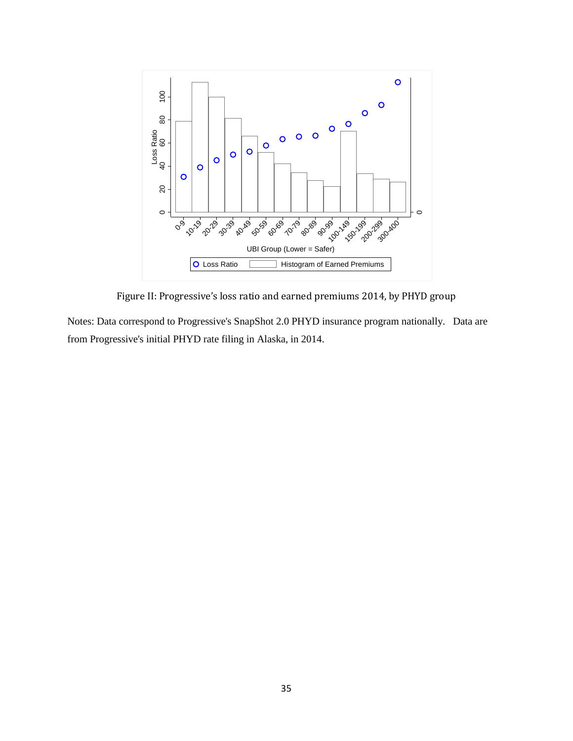

Figure II: Progressive's loss ratio and earned premiums 2014, by PHYD group

Notes: Data correspond to Progressive's SnapShot 2.0 PHYD insurance program nationally. Data are from Progressive's initial PHYD rate filing in Alaska, in 2014.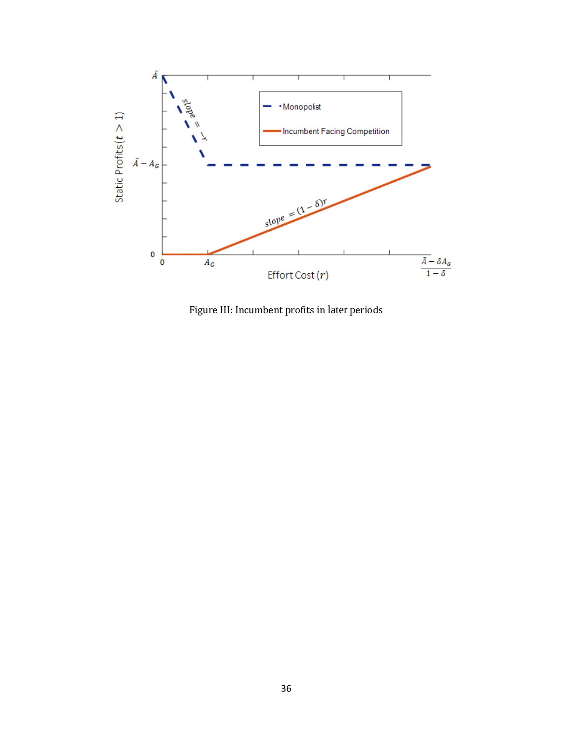

Figure III: Incumbent profits in later periods